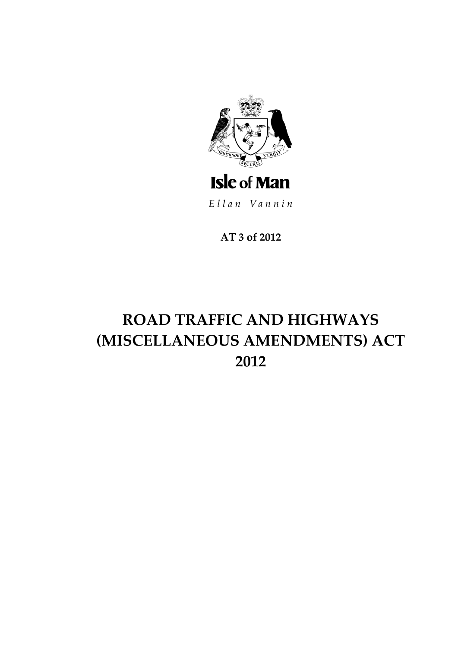

Ellan Vannin

**AT 3 of 2012**

# **ROAD TRAFFIC AND HIGHWAYS (MISCELLANEOUS AMENDMENTS) ACT 2012**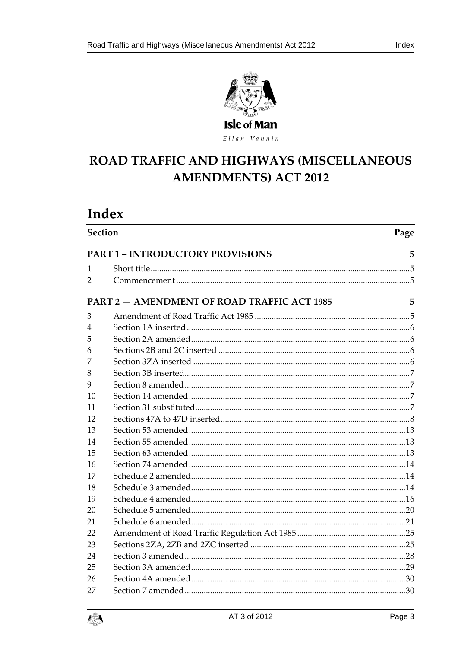

Ellan Vannin

# ROAD TRAFFIC AND HIGHWAYS (MISCELLANEOUS **AMENDMENTS) ACT 2012**

# Index

| <b>Section</b> | Page                                               |   |
|----------------|----------------------------------------------------|---|
|                | <b>PART 1 - INTRODUCTORY PROVISIONS</b>            | 5 |
| 1              |                                                    |   |
| 2              |                                                    |   |
|                | <b>PART 2 - AMENDMENT OF ROAD TRAFFIC ACT 1985</b> | 5 |
| 3              |                                                    |   |
| 4              |                                                    |   |
| 5              |                                                    |   |
| 6              |                                                    |   |
| 7              |                                                    |   |
| 8              |                                                    |   |
| 9              |                                                    |   |
| 10             |                                                    |   |
| 11             |                                                    |   |
| 12             |                                                    |   |
| 13             |                                                    |   |
| 14             |                                                    |   |
| 15             |                                                    |   |
| 16             |                                                    |   |
| 17             |                                                    |   |
| 18             |                                                    |   |
| 19             |                                                    |   |
| 20             |                                                    |   |
| 21             |                                                    |   |
| 22             |                                                    |   |
| 23             |                                                    |   |
| 24             |                                                    |   |
| 25             |                                                    |   |
| 26             |                                                    |   |
| 27             |                                                    |   |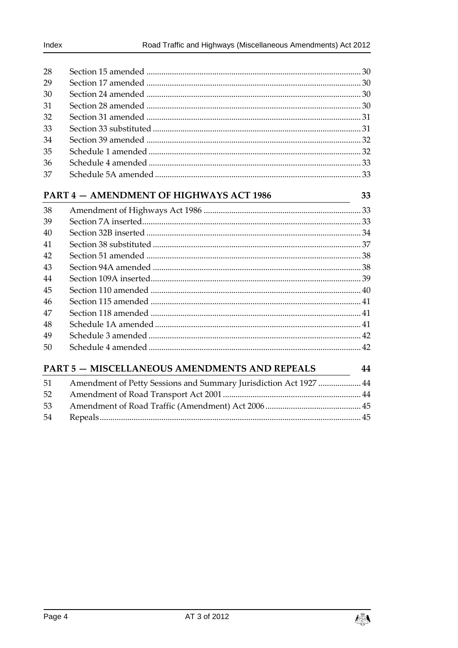| 28 |  |
|----|--|
| 29 |  |
| 30 |  |
| 31 |  |
| 32 |  |
| 33 |  |
| 34 |  |
| 35 |  |
| 36 |  |
| 37 |  |

### PART 4 - AMENDMENT OF HIGHWAYS ACT 1986

| 38 |  |
|----|--|
| 39 |  |
| 40 |  |
| 41 |  |
| 42 |  |
| 43 |  |
| 44 |  |
| 45 |  |
| 46 |  |
| 47 |  |
| 48 |  |
| 49 |  |
| 50 |  |
|    |  |

### **PART 5 - MISCELLANEOUS AMENDMENTS AND REPEALS**

33

| 51   | Amendment of Petty Sessions and Summary Jurisdiction Act 1927  44 |  |
|------|-------------------------------------------------------------------|--|
| 52   |                                                                   |  |
| -53- |                                                                   |  |
| 54   |                                                                   |  |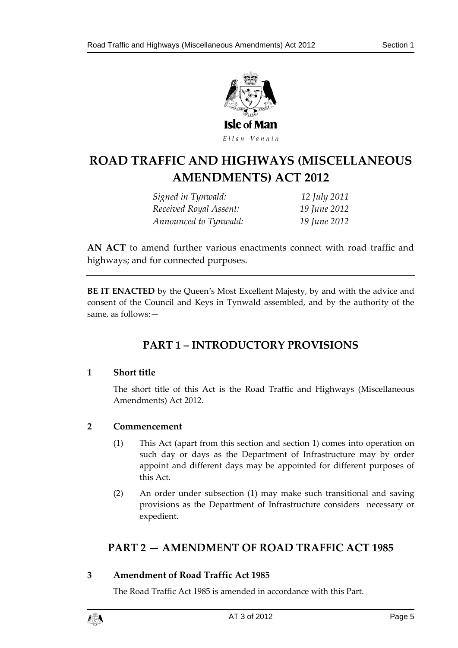

# **ROAD TRAFFIC AND HIG HWAYS (MISCELLANEOUS AMENDMENTS) ACT 2012**

*Signed in Tynwald: 12 July 2011 Received Royal Assent: 19 June 2012 Announced to Tynwald: 19 June 2012*

**AN ACT** to amend further various enactments connect with road traffic and highways; and for connected purposes.

<span id="page-4-0"></span>**BE IT ENACTED** by the Queen's Most Excellent Majesty, by and with the advice and consent of the Council and Keys in Tynwald assembled, and by the authority of the same, as follows:—

# **PART 1 – INTRODUCTORY PROVISIONS**

### <span id="page-4-1"></span>**1 Short title**

The short title of this Act is the Road Traffic and Highways (Miscellaneous Amendments) Act 2012.

### <span id="page-4-2"></span>**2 Commencement**

- (1) This Act (apart from this section and section 1) comes into operation on such day or days as the Department of Infrastructure may by order appoint and different days may be appointed for different purposes of this Act.
- (2) An order under subsection (1) may make such transitional and saving provisions as the Department of Infrastructure considers necessary or expedient.

# <span id="page-4-3"></span>**PART 2 — AMENDMENT OF ROAD TRAFFIC ACT 1985**

### <span id="page-4-4"></span>**3 Amendment of Road Traffic Act 1985**

The Road Traffic Act 1985 is amended in accordance with this Part.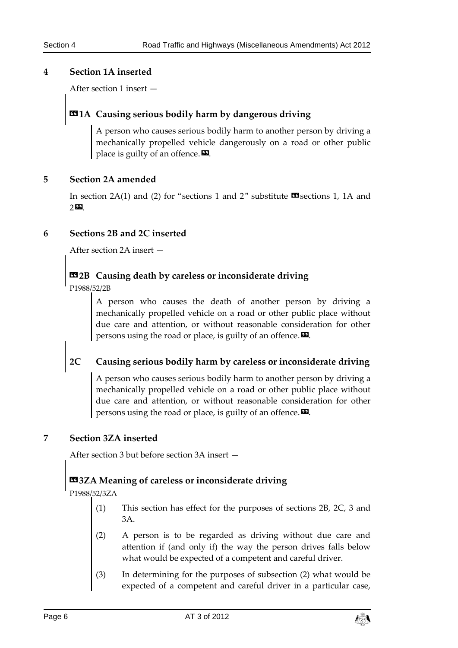### <span id="page-5-0"></span>**4 Section 1A inserted**

After section 1 insert —

# **«1A Causing serious bodily harm by dangerous driving**

A person who causes serious bodily harm to another person by driving a mechanically propelled vehicle dangerously on a road or other public place is guilty of an offence. $\boldsymbol{\mathsf{E}}$ .

### <span id="page-5-1"></span>**5 Section 2A amended**

In section 2A(1) and (2) for "sections 1 and 2" substitute  $\mathbf{\mathfrak{B}}$  sections 1, 1A and 2».

### <span id="page-5-2"></span>**6 Sections 2B and 2C inserted**

After section 2A insert —

# **«2B Causing death by careless or inconsiderate driving**

P1988/52/2B

A person who causes the death of another person by driving a mechanically propelled vehicle on a road or other public place without due care and attention, or without reasonable consideration for other persons using the road or place, is guilty of an offence. $\boldsymbol{\Sigma}$ .

# **2C Causing serious bodily harm by careless or inconsiderate driving**

A person who causes serious bodily harm to another person by driving a mechanically propelled vehicle on a road or other public place without due care and attention, or without reasonable consideration for other persons using the road or place, is guilty of an offence. $\boldsymbol{\mathsf{\Xi}}$ .

#### <span id="page-5-3"></span>**7 Section 3ZA inserted**

After section 3 but before section 3A insert —

# **«3ZA Meaning of careless or inconsiderate driving**

P1988/52/3ZA

- (1) This section has effect for the purposes of sections 2B, 2C, 3 and 3A.
- (2) A person is to be regarded as driving without due care and attention if (and only if) the way the person drives falls below what would be expected of a competent and careful driver.
- (3) In determining for the purposes of subsection (2) what would be expected of a competent and careful driver in a particular case,

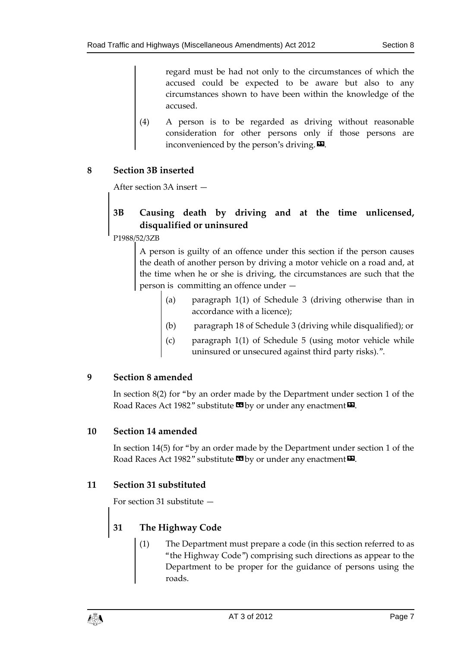regard must be had not only to the circumstances of which the accused could be expected to be aware but also to any circumstances shown to have been within the knowledge of the accused.

(4) A person is to be regarded as driving without reasonable consideration for other persons only if those persons are inconvenienced by the person's driving. $\boldsymbol{\mathsf{\Xi}}$ .

### <span id="page-6-0"></span>**8 Section 3B inserted**

After section 3A insert —

# **3B Causing death by driving and at the time unlicensed, disqualified or uninsured**

P1988/52/3ZB

A person is guilty of an offence under this section if the person causes the death of another person by driving a motor vehicle on a road and, at the time when he or she is driving, the circumstances are such that the person is committing an offence under —

- paragraph  $1(1)$  of Schedule 3 (driving otherwise than in accordance with a licence);
- (b) paragraph 18 of Schedule 3 (driving while disqualified); or
- paragraph  $1(1)$  of Schedule 5 (using motor vehicle while uninsured or unsecured against third party risks).".

### <span id="page-6-1"></span>**9 Section 8 amended**

In section 8(2) for "by an order made by the Department under section 1 of the Road Races Act 1982" substitute  $\blacksquare$  by or under any enactment  $\blacksquare$ .

### <span id="page-6-2"></span>**10 Section 14 amended**

In section 14(5) for "by an order made by the Department under section 1 of the Road Races Act 1982" substitute  $\mathbf{E}$  by or under any enactment  $\mathbf{E}$ .

### <span id="page-6-3"></span>**11 Section 31 substituted**

For section 31 substitute —

# **31 The Highway Code**

The Department must prepare a code (in this section referred to as "the Highway Code") comprising such directions as appear to the Department to be proper for the guidance of persons using the roads.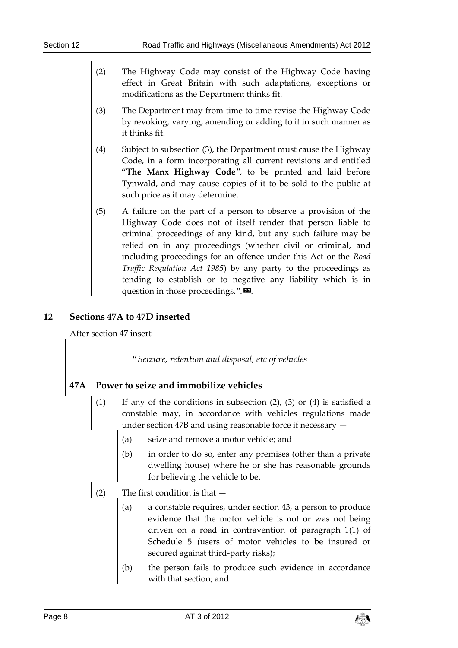- (2) The Highway Code may consist of the Highway Code having effect in Great Britain with such adaptations, exceptions or modifications as the Department thinks fit.
- (3) The Department may from time to time revise the Highway Code by revoking, varying, amending or adding to it in such manner as it thinks fit.
- (4) Subject to subsection (3), the Department must cause the Highway Code, in a form incorporating all current revisions and entitled "**The Manx Highway Code**", to be printed and laid before Tynwald, and may cause copies of it to be sold to the public at such price as it may determine.
- (5) A failure on the part of a person to observe a provision of the Highway Code does not of itself render that person liable to criminal proceedings of any kind, but any such failure may be relied on in any proceedings (whether civil or criminal, and including proceedings for an offence under this Act or the *Road Traffic Regulation Act 1985*) by any party to the proceedings as tending to establish or to negative any liability which is in question in those proceedings.". $\mathbf{E}$ .

### <span id="page-7-0"></span>**12 Sections 47A to 47D inserted**

After section 47 insert —

*"Seizure, retention and disposal, etc of vehicles* 

# **47A Power to seize and immobilize vehicles**

- (1) If any of the conditions in subsection (2), (3) or (4) is satisfied a constable may, in accordance with vehicles regulations made under section 47B and using reasonable force if necessary —
	- (a) seize and remove a motor vehicle; and
	- (b) in order to do so, enter any premises (other than a private dwelling house) where he or she has reasonable grounds for believing the vehicle to be.
- (2) The first condition is that  $-$ 
	- (a) a constable requires, under section 43, a person to produce evidence that the motor vehicle is not or was not being driven on a road in contravention of paragraph 1(1) of Schedule 5 (users of motor vehicles to be insured or secured against third-party risks);
	- (b) the person fails to produce such evidence in accordance with that section; and

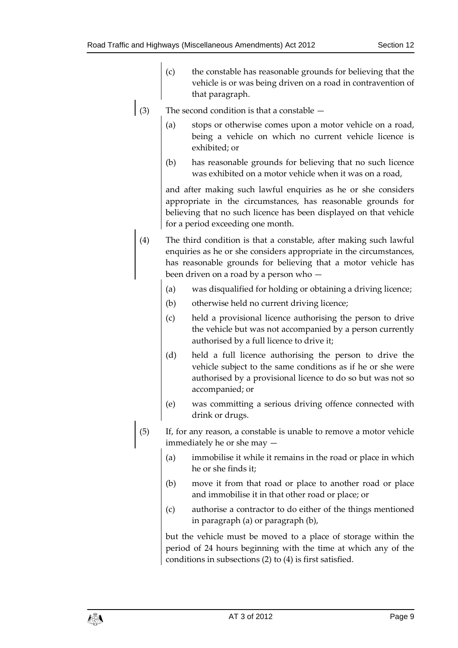- (c) the constable has reasonable grounds for believing that the vehicle is or was being driven on a road in contravention of that paragraph.
- (3) The second condition is that a constable  $-$ 
	- (a) stops or otherwise comes upon a motor vehicle on a road, being a vehicle on which no current vehicle licence is exhibited; or
	- (b) has reasonable grounds for believing that no such licence was exhibited on a motor vehicle when it was on a road,

and after making such lawful enquiries as he or she considers appropriate in the circumstances, has reasonable grounds for believing that no such licence has been displayed on that vehicle for a period exceeding one month.

- (4) The third condition is that a constable, after making such lawful enquiries as he or she considers appropriate in the circumstances, has reasonable grounds for believing that a motor vehicle has been driven on a road by a person who —
	- (a) was disqualified for holding or obtaining a driving licence;
	- (b) otherwise held no current driving licence;
	- (c) held a provisional licence authorising the person to drive the vehicle but was not accompanied by a person currently authorised by a full licence to drive it;
	- (d) held a full licence authorising the person to drive the vehicle subject to the same conditions as if he or she were authorised by a provisional licence to do so but was not so accompanied; or
	- (e) was committing a serious driving offence connected with drink or drugs.
- (5) If, for any reason, a constable is unable to remove a motor vehicle immediately he or she may —
	- (a) immobilise it while it remains in the road or place in which he or she finds it;
	- (b) move it from that road or place to another road or place and immobilise it in that other road or place; or
	- (c) authorise a contractor to do either of the things mentioned in paragraph (a) or paragraph (b),

but the vehicle must be moved to a place of storage within the period of 24 hours beginning with the time at which any of the conditions in subsections (2) to (4) is first satisfied.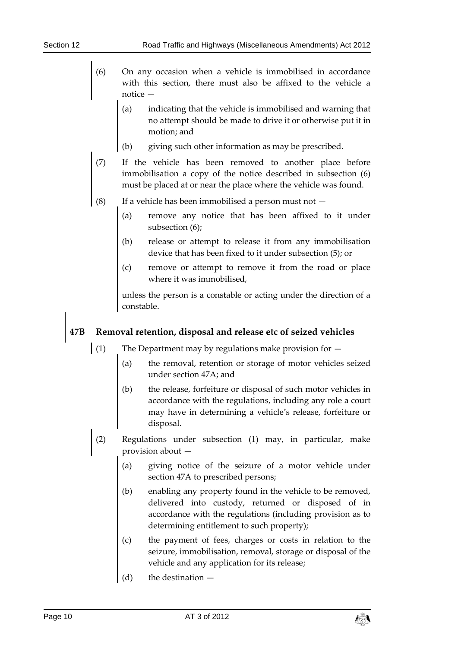- (6) On any occasion when a vehicle is immobilised in accordance with this section, there must also be affixed to the vehicle a notice —
	- (a) indicating that the vehicle is immobilised and warning that no attempt should be made to drive it or otherwise put it in motion; and
	- (b) giving such other information as may be prescribed.
- (7) If the vehicle has been removed to another place before immobilisation a copy of the notice described in subsection (6) must be placed at or near the place where the vehicle was found.
- (8) If a vehicle has been immobilised a person must not  $-$ 
	- (a) remove any notice that has been affixed to it under subsection (6);
	- (b) release or attempt to release it from any immobilisation device that has been fixed to it under subsection (5); or
	- (c) remove or attempt to remove it from the road or place where it was immobilised,

unless the person is a constable or acting under the direction of a constable.

### **47B Removal retention, disposal and release etc of seized vehicles**

- (1) The Department may by regulations make provision for  $-$ 
	- (a) the removal, retention or storage of motor vehicles seized under section 47A; and
	- (b) the release, forfeiture or disposal of such motor vehicles in accordance with the regulations, including any role a court may have in determining a vehicle's release, forfeiture or disposal.
- (2) Regulations under subsection (1) may, in particular, make provision about —
	- (a) giving notice of the seizure of a motor vehicle under section 47A to prescribed persons;
	- (b) enabling any property found in the vehicle to be removed, delivered into custody, returned or disposed of in accordance with the regulations (including provision as to determining entitlement to such property);
	- (c) the payment of fees, charges or costs in relation to the seizure, immobilisation, removal, storage or disposal of the vehicle and any application for its release;
	- (d) the destination —

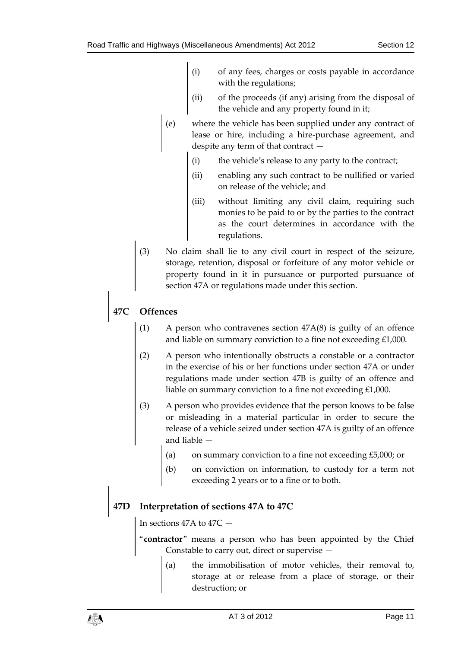- (i) of any fees, charges or costs payable in accordance with the regulations;
- (ii) of the proceeds (if any) arising from the disposal of the vehicle and any property found in it;
- (e) where the vehicle has been supplied under any contract of lease or hire, including a hire-purchase agreement, and despite any term of that contract —
	- (i) the vehicle's release to any party to the contract;
	- (ii) enabling any such contract to be nullified or varied on release of the vehicle; and
	- (iii) without limiting any civil claim, requiring such monies to be paid to or by the parties to the contract as the court determines in accordance with the regulations.
- (3) No claim shall lie to any civil court in respect of the seizure, storage, retention, disposal or forfeiture of any motor vehicle or property found in it in pursuance or purported pursuance of section 47A or regulations made under this section.

# **47C Offences**

- (1) A person who contravenes section 47A(8) is guilty of an offence and liable on summary conviction to a fine not exceeding £1,000.
- (2) A person who intentionally obstructs a constable or a contractor in the exercise of his or her functions under section 47A or under regulations made under section 47B is guilty of an offence and liable on summary conviction to a fine not exceeding £1,000.
- (3) A person who provides evidence that the person knows to be false or misleading in a material particular in order to secure the release of a vehicle seized under section 47A is guilty of an offence and liable —
	- (a) on summary conviction to a fine not exceeding  $£5,000$ ; or
	- (b) on conviction on information, to custody for a term not exceeding 2 years or to a fine or to both.

### **47D Interpretation of sections 47A to 47C**

In sections 47A to 47C —

"**contractor**" means a person who has been appointed by the Chief Constable to carry out, direct or supervise —

(a) the immobilisation of motor vehicles, their removal to, storage at or release from a place of storage, or their destruction; or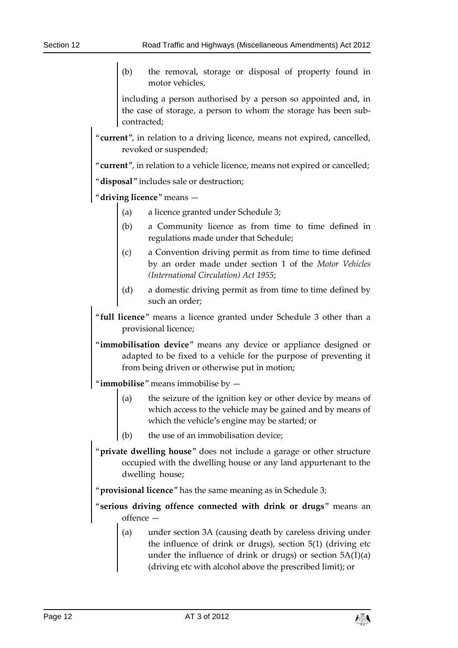(b) the removal, storage or disposal of property found in motor vehicles,

including a person authorised by a person so appointed and, in the case of storage, a person to whom the storage has been subcontracted;

"**current**", in relation to a driving licence, means not expired, cancelled, revoked or suspended;

"**current**", in relation to a vehicle licence, means not expired or cancelled;

"**disposal**" includes sale or destruction;

driving licence" means -

- (a) a licence granted under Schedule 3;
- (b) a Community licence as from time to time defined in regulations made under that Schedule;
- (c) a Convention driving permit as from time to time defined by an order made under section 1 of the *Motor Vehicles (International Circulation) Act 1955*;
- (d) a domestic driving permit as from time to time defined by such an order;
- "**full licence**" means a licence granted under Schedule 3 other than a provisional licence;
- "**immobilisation device**" means any device or appliance designed or adapted to be fixed to a vehicle for the purpose of preventing it from being driven or otherwise put in motion;

"**immobilise**" means immobilise by —

- (a) the seizure of the ignition key or other device by means of which access to the vehicle may be gained and by means of which the vehicle's engine may be started; or
- (b) the use of an immobilisation device:
- "**private dwelling house**" does not include a garage or other structure occupied with the dwelling house or any land appurtenant to the dwelling house;

"**provisional licence**" has the same meaning as in Schedule 3;

"**serious driving offence connected with drink or drugs**" means an offence —

(a) under section 3A (causing death by careless driving under the influence of drink or drugs), section 5(1) (driving etc under the influence of drink or drugs) or section 5A(1)(a) (driving etc with alcohol above the prescribed limit); or

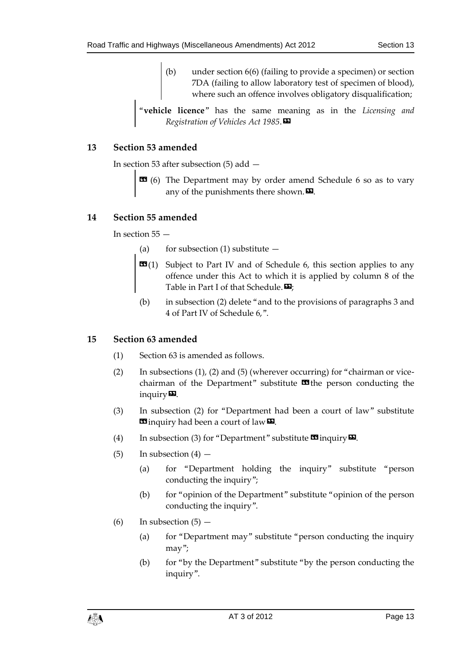(b) under section 6(6) (failing to provide a specimen) or section 7DA (failing to allow laboratory test of specimen of blood), where such an offence involves obligatory disqualification;

"**vehicle licence**" has the same meaning as in the *Licensing and Registration of Vehicles Act 1985*.»

### <span id="page-12-0"></span>**13 Section 53 amended**

In section 53 after subsection (5) add —

**EE** (6) The Department may by order amend Schedule 6 so as to vary any of the punishments there shown. $\boldsymbol{\mathsf{\Xi}}$ .

### <span id="page-12-1"></span>**14 Section 55 amended**

In section 55 —

- (a) for subsection (1) substitute  $-$
- **EG**(1) Subject to Part IV and of Schedule 6, this section applies to any offence under this Act to which it is applied by column 8 of the Table in Part I of that Schedule. $\mathbf{D}$ ;
- (b) in subsection (2) delete "and to the provisions of paragraphs 3 and 4 of Part IV of Schedule 6,".

### <span id="page-12-2"></span>**15 Section 63 amended**

- (1) Section 63 is amended as follows.
- (2) In subsections (1), (2) and (5) (wherever occurring) for "chairman or vicechairman of the Department" substitute  $\mathbf{\Omega}$  the person conducting the inquiry $\Psi$ .
- (3) In subsection (2) for "Department had been a court of law" substitute **E** inquiry had been a court of law **D**.
- (4) In subsection (3) for "Department" substitute  $\mathbf{\mathfrak{B}}$  inquiry  $\mathbf{\Sigma}$ .
- (5) In subsection  $(4)$ 
	- (a) for "Department holding the inquiry" substitute "person conducting the inquiry";
	- (b) for "opinion of the Department" substitute "opinion of the person conducting the inquiry".
- (6) In subsection  $(5)$ 
	- (a) for "Department may" substitute "person conducting the inquiry may";
	- (b) for "by the Department" substitute "by the person conducting the inquiry".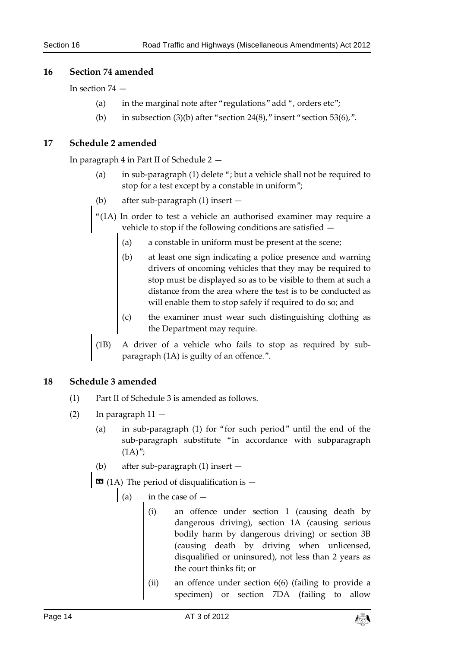### <span id="page-13-0"></span>**16 Section 74 amended**

In section 74 —

- (a) in the marginal note after "regulations" add ", orders etc";
- (b) in subsection (3)(b) after "section 24(8)," insert "section 53(6),".

### <span id="page-13-1"></span>**17 Schedule 2 amended**

In paragraph 4 in Part II of Schedule 2 —

- (a) in sub-paragraph (1) delete "; but a vehicle shall not be required to stop for a test except by a constable in uniform";
- (b) after sub-paragraph (1) insert —
- "(1A) In order to test a vehicle an authorised examiner may require a vehicle to stop if the following conditions are satisfied —
	- (a) a constable in uniform must be present at the scene;
	- (b) at least one sign indicating a police presence and warning drivers of oncoming vehicles that they may be required to stop must be displayed so as to be visible to them at such a distance from the area where the test is to be conducted as will enable them to stop safely if required to do so; and
	- (c) the examiner must wear such distinguishing clothing as the Department may require.
- (1B) A driver of a vehicle who fails to stop as required by subparagraph (1A) is guilty of an offence.".

### <span id="page-13-2"></span>**18 Schedule 3 amended**

- (1) Part II of Schedule 3 is amended as follows.
- (2) In paragraph 11
	- (a) in sub-paragraph (1) for "for such period" until the end of the sub-paragraph substitute "in accordance with subparagraph  $(1A)$ ";
	- (b) after sub-paragraph (1) insert —

 $\blacksquare$  (1A) The period of disqualification is  $-$ 

- (a) in the case of  $-$ 
	- (i) an offence under section 1 (causing death by dangerous driving), section 1A (causing serious bodily harm by dangerous driving) or section 3B (causing death by driving when unlicensed, disqualified or uninsured), not less than 2 years as the court thinks fit; or
	- (ii) an offence under section 6(6) (failing to provide a specimen) or section 7DA (failing to allow

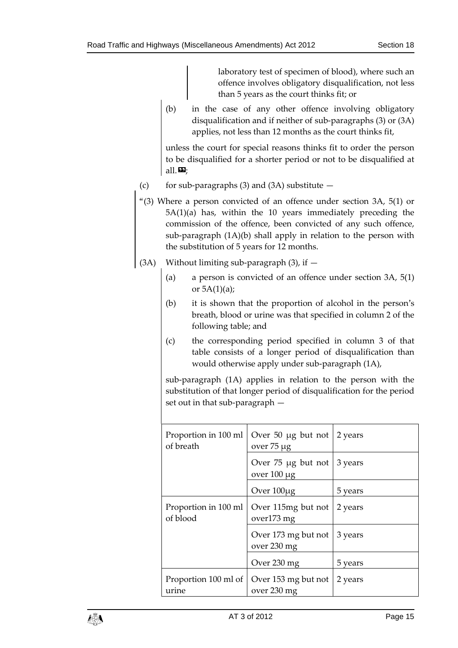laboratory test of specimen of blood), where such an offence involves obligatory disqualification, not less than 5 years as the court thinks fit; or

(b) in the case of any other offence involving obligatory disqualification and if neither of sub-paragraphs (3) or (3A) applies, not less than 12 months as the court thinks fit,

unless the court for special reasons thinks fit to order the person to be disqualified for a shorter period or not to be disqualified at all. $\mathbf{E}$ ;

- (c) for sub-paragraphs (3) and (3A) substitute  $-$
- "(3) Where a person convicted of an offence under section 3A, 5(1) or 5A(1)(a) has, within the 10 years immediately preceding the commission of the offence, been convicted of any such offence, sub-paragraph (1A)(b) shall apply in relation to the person with the substitution of 5 years for 12 months.
- (3A) Without limiting sub-paragraph  $(3)$ , if  $-$ 
	- (a) a person is convicted of an offence under section 3A, 5(1) or  $5A(1)(a)$ ;
	- (b) it is shown that the proportion of alcohol in the person's breath, blood or urine was that specified in column 2 of the following table; and
	- (c) the corresponding period specified in column 3 of that table consists of a longer period of disqualification than would otherwise apply under sub-paragraph (1A),

sub-paragraph (1A) applies in relation to the person with the substitution of that longer period of disqualification for the period set out in that sub-paragraph —

| Proportion in 100 ml<br>of breath | Over 50 $\mu$ g but not   2 years<br>over 75 µg       |         |
|-----------------------------------|-------------------------------------------------------|---------|
|                                   | Over 75 $\mu$ g but not   3 years<br>over $100 \mu$ g |         |
|                                   | Over 100µg                                            | 5 years |
| Proportion in 100 ml<br>of blood  | Over 115mg but not<br>over173 mg                      | 2 years |
|                                   | Over 173 mg but not<br>over 230 mg                    | 3 years |
|                                   | Over 230 mg                                           | 5 years |
| Proportion 100 ml of<br>urine     | Over 153 mg but not<br>over 230 mg                    | 2 years |

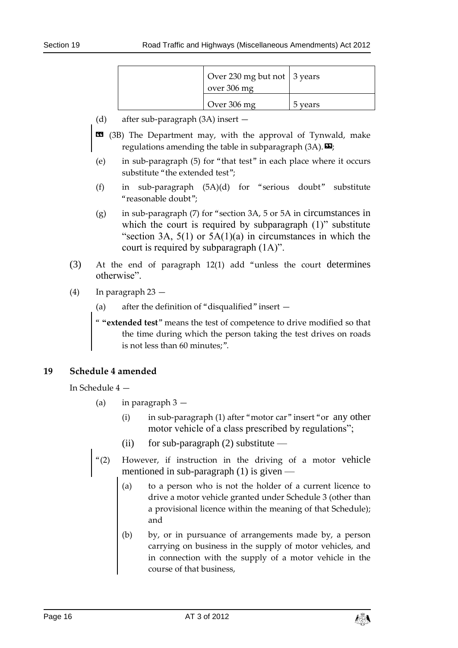| Over 230 mg but not 3 years<br>over 306 mg |         |
|--------------------------------------------|---------|
| Over 306 mg                                | 5 vears |

- (d) after sub-paragraph (3A) insert —
- $\bullet$  (3B) The Department may, with the approval of Tynwald, make regulations amending the table in subparagraph  $(3A)$ .  $\mathbf{E}$ ;
- (e) in sub-paragraph (5) for "that test" in each place where it occurs substitute "the extended test";
- (f) in sub-paragraph (5A)(d) for "serious doubt" substitute "reasonable doubt";
- (g) in sub-paragraph (7) for "section 3A, 5 or 5A in circumstances in which the court is required by subparagraph (1)" substitute "section 3A,  $5(1)$  or  $5A(1)(a)$  in circumstances in which the court is required by subparagraph (1A)".
- (3) At the end of paragraph 12(1) add "unless the court determines otherwise".
- (4) In paragraph 23
	- (a) after the definition of "disqualified" insert —

" **"extended test**" means the test of competence to drive modified so that the time during which the person taking the test drives on roads is not less than 60 minutes;".

### <span id="page-15-0"></span>**19 Schedule 4 amended**

In Schedule 4 —

- (a) in paragraph  $3 -$ 
	- (i) in sub-paragraph (1) after "motor car" insert "or any other motor vehicle of a class prescribed by regulations";
	- (ii) for sub-paragraph  $(2)$  substitute —
- "(2) However, if instruction in the driving of a motor vehicle mentioned in sub-paragraph (1) is given —
	- (a) to a person who is not the holder of a current licence to drive a motor vehicle granted under Schedule 3 (other than a provisional licence within the meaning of that Schedule); and
	- (b) by, or in pursuance of arrangements made by, a person carrying on business in the supply of motor vehicles, and in connection with the supply of a motor vehicle in the course of that business,

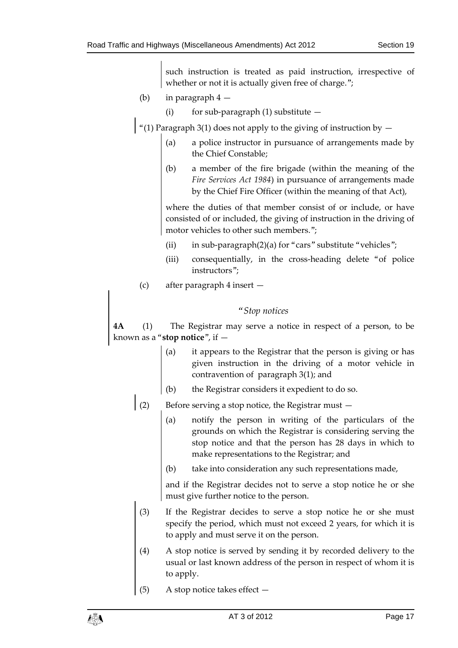such instruction is treated as paid instruction, irrespective of whether or not it is actually given free of charge.";

- (b) in paragraph 4
	- (i) for sub-paragraph (1) substitute  $-$
- $\vert$  "(1) Paragraph 3(1) does not apply to the giving of instruction by  $-$ 
	- (a) a police instructor in pursuance of arrangements made by the Chief Constable;
	- (b) a member of the fire brigade (within the meaning of the *Fire Services Act 1984*) in pursuance of arrangements made by the Chief Fire Officer (within the meaning of that Act),

where the duties of that member consist of or include, or have consisted of or included, the giving of instruction in the driving of motor vehicles to other such members.";

- (ii) in sub-paragraph $(2)(a)$  for "cars" substitute "vehicles";
- (iii) consequentially, in the cross-heading delete "of police instructors";
- (c) after paragraph 4 insert —

### *"Stop notices*

**4A** (1) The Registrar may serve a notice in respect of a person, to be known as a "**stop notice**", if —

- (a) it appears to the Registrar that the person is giving or has given instruction in the driving of a motor vehicle in contravention of paragraph 3(1); and
- (b) the Registrar considers it expedient to do so.
- (2) Before serving a stop notice, the Registrar must  $-$ 
	- (a) notify the person in writing of the particulars of the grounds on which the Registrar is considering serving the stop notice and that the person has 28 days in which to make representations to the Registrar; and
	- (b) take into consideration any such representations made,

and if the Registrar decides not to serve a stop notice he or she must give further notice to the person.

- (3) If the Registrar decides to serve a stop notice he or she must specify the period, which must not exceed 2 years, for which it is to apply and must serve it on the person.
- (4) A stop notice is served by sending it by recorded delivery to the usual or last known address of the person in respect of whom it is to apply.
- (5) A stop notice takes effect —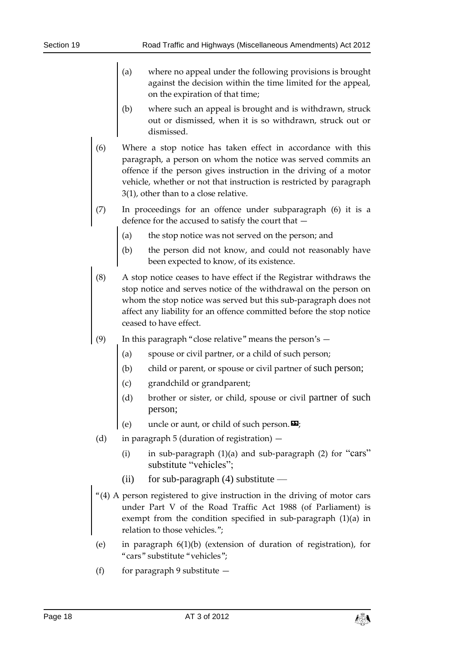- (a) where no appeal under the following provisions is brought against the decision within the time limited for the appeal, on the expiration of that time;
- (b) where such an appeal is brought and is withdrawn, struck out or dismissed, when it is so withdrawn, struck out or dismissed.
- (6) Where a stop notice has taken effect in accordance with this paragraph, a person on whom the notice was served commits an offence if the person gives instruction in the driving of a motor vehicle, whether or not that instruction is restricted by paragraph 3(1), other than to a close relative.
- (7) In proceedings for an offence under subparagraph (6) it is a defence for the accused to satisfy the court that —
	- (a) the stop notice was not served on the person; and
	- (b) the person did not know, and could not reasonably have been expected to know, of its existence.
- (8) A stop notice ceases to have effect if the Registrar withdraws the stop notice and serves notice of the withdrawal on the person on whom the stop notice was served but this sub-paragraph does not affect any liability for an offence committed before the stop notice ceased to have effect.
- (9) In this paragraph "close relative" means the person's
	- (a) spouse or civil partner, or a child of such person;
	- (b) child or parent, or spouse or civil partner of such person;
	- (c) grandchild or grandparent;
	- (d) brother or sister, or child, spouse or civil partner of such person;
	- (e) uncle or aunt, or child of such person.  $\mathbf{E}$ ;
- (d) in paragraph 5 (duration of registration)
	- (i) in sub-paragraph  $(1)(a)$  and sub-paragraph  $(2)$  for "cars" substitute "vehicles";
	- (ii) for sub-paragraph  $(4)$  substitute —
- "(4) A person registered to give instruction in the driving of motor cars under Part V of the Road Traffic Act 1988 (of Parliament) is exempt from the condition specified in sub-paragraph (1)(a) in relation to those vehicles.";
- (e) in paragraph 6(1)(b) (extension of duration of registration), for "cars" substitute "vehicles";
- (f) for paragraph 9 substitute  $-$

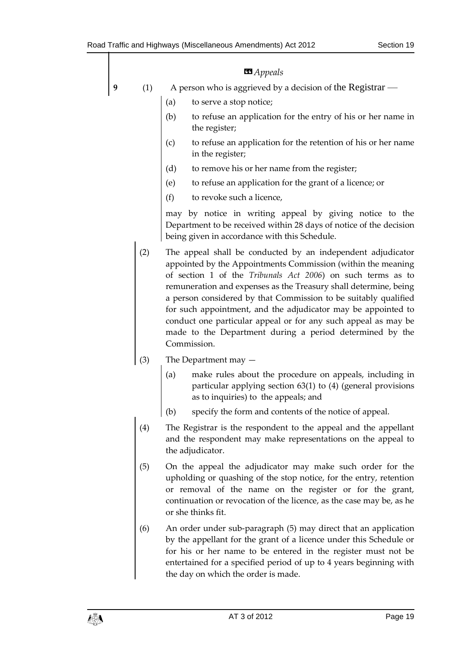|   | <b>B</b> Appeals |                                                                                                                                                                                                                                                                                                                                                                                                                                                                                                                                                 |  |  |  |  |  |  |
|---|------------------|-------------------------------------------------------------------------------------------------------------------------------------------------------------------------------------------------------------------------------------------------------------------------------------------------------------------------------------------------------------------------------------------------------------------------------------------------------------------------------------------------------------------------------------------------|--|--|--|--|--|--|
| 9 | (1)              | A person who is aggrieved by a decision of the Registrar —                                                                                                                                                                                                                                                                                                                                                                                                                                                                                      |  |  |  |  |  |  |
|   |                  | to serve a stop notice;<br>(a)                                                                                                                                                                                                                                                                                                                                                                                                                                                                                                                  |  |  |  |  |  |  |
|   |                  | to refuse an application for the entry of his or her name in<br>(b)<br>the register;                                                                                                                                                                                                                                                                                                                                                                                                                                                            |  |  |  |  |  |  |
|   |                  | to refuse an application for the retention of his or her name<br>(c)<br>in the register;                                                                                                                                                                                                                                                                                                                                                                                                                                                        |  |  |  |  |  |  |
|   |                  | (d)<br>to remove his or her name from the register;                                                                                                                                                                                                                                                                                                                                                                                                                                                                                             |  |  |  |  |  |  |
|   |                  | to refuse an application for the grant of a licence; or<br>(e)                                                                                                                                                                                                                                                                                                                                                                                                                                                                                  |  |  |  |  |  |  |
|   |                  | (f)<br>to revoke such a licence,                                                                                                                                                                                                                                                                                                                                                                                                                                                                                                                |  |  |  |  |  |  |
|   |                  | may by notice in writing appeal by giving notice to the<br>Department to be received within 28 days of notice of the decision<br>being given in accordance with this Schedule.                                                                                                                                                                                                                                                                                                                                                                  |  |  |  |  |  |  |
|   | (2)              | The appeal shall be conducted by an independent adjudicator<br>appointed by the Appointments Commission (within the meaning<br>of section 1 of the Tribunals Act 2006) on such terms as to<br>remuneration and expenses as the Treasury shall determine, being<br>a person considered by that Commission to be suitably qualified<br>for such appointment, and the adjudicator may be appointed to<br>conduct one particular appeal or for any such appeal as may be<br>made to the Department during a period determined by the<br>Commission. |  |  |  |  |  |  |
|   | (3)              | The Department may $-$                                                                                                                                                                                                                                                                                                                                                                                                                                                                                                                          |  |  |  |  |  |  |
|   |                  | make rules about the procedure on appeals, including in<br>(a)<br>particular applying section $63(1)$ to $(4)$ (general provisions<br>as to inquiries) to the appeals; and                                                                                                                                                                                                                                                                                                                                                                      |  |  |  |  |  |  |
|   |                  | specify the form and contents of the notice of appeal.<br>(b)                                                                                                                                                                                                                                                                                                                                                                                                                                                                                   |  |  |  |  |  |  |
|   | (4)              | The Registrar is the respondent to the appeal and the appellant<br>and the respondent may make representations on the appeal to<br>the adjudicator.                                                                                                                                                                                                                                                                                                                                                                                             |  |  |  |  |  |  |
|   | (5)              | On the appeal the adjudicator may make such order for the<br>upholding or quashing of the stop notice, for the entry, retention<br>or removal of the name on the register or for the grant,<br>continuation or revocation of the licence, as the case may be, as he<br>or she thinks fit.                                                                                                                                                                                                                                                       |  |  |  |  |  |  |
|   | (6)              | An order under sub-paragraph (5) may direct that an application<br>by the appellant for the grant of a licence under this Schedule or<br>for his or her name to be entered in the register must not be                                                                                                                                                                                                                                                                                                                                          |  |  |  |  |  |  |

the day on which the order is made.

entertained for a specified period of up to 4 years beginning with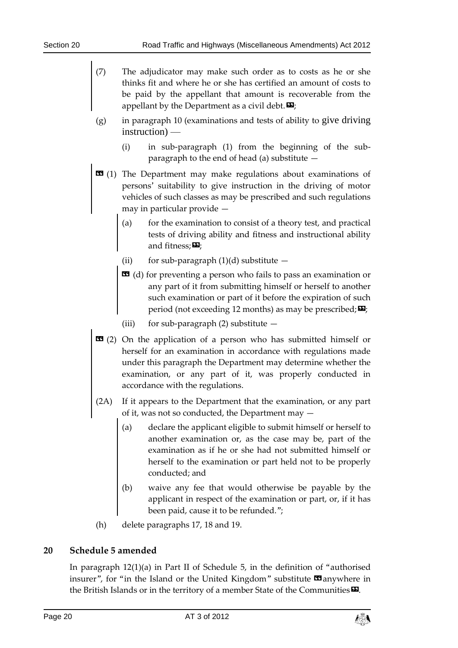- (7) The adjudicator may make such order as to costs as he or she thinks fit and where he or she has certified an amount of costs to be paid by the appellant that amount is recoverable from the appellant by the Department as a civil debt.  $\mathbf{E}$ :
- (g) in paragraph 10 (examinations and tests of ability to give driving instruction) —
	- (i) in sub-paragraph (1) from the beginning of the subparagraph to the end of head (a) substitute —
- $\text{1}$  (1) The Department may make regulations about examinations of persons' suitability to give instruction in the driving of motor vehicles of such classes as may be prescribed and such regulations may in particular provide —
	- (a) for the examination to consist of a theory test, and practical tests of driving ability and fitness and instructional ability and fitness; $\mathbf{E}$ ;
	- (ii) for sub-paragraph  $(1)(d)$  substitute  $-$
	- $\mathbf{G}$  (d) for preventing a person who fails to pass an examination or any part of it from submitting himself or herself to another such examination or part of it before the expiration of such period (not exceeding 12 months) as may be prescribed;  $\mathbf{E}$ ;
	- (iii) for sub-paragraph  $(2)$  substitute  $-$
- **EE** (2) On the application of a person who has submitted himself or herself for an examination in accordance with regulations made under this paragraph the Department may determine whether the examination, or any part of it, was properly conducted in accordance with the regulations.
- (2A) If it appears to the Department that the examination, or any part of it, was not so conducted, the Department may —
	- (a) declare the applicant eligible to submit himself or herself to another examination or, as the case may be, part of the examination as if he or she had not submitted himself or herself to the examination or part held not to be properly conducted; and
	- (b) waive any fee that would otherwise be payable by the applicant in respect of the examination or part, or, if it has been paid, cause it to be refunded.";
- (h) delete paragraphs 17, 18 and 19.

### <span id="page-19-0"></span>**20 Schedule 5 amended**

In paragraph 12(1)(a) in Part II of Schedule 5, in the definition of "authorised insurer", for "in the Island or the United Kingdom" substitute  $\blacksquare$  anywhere in the British Islands or in the territory of a member State of the Communities $\boldsymbol{\mathsf{\Xi}}$ .

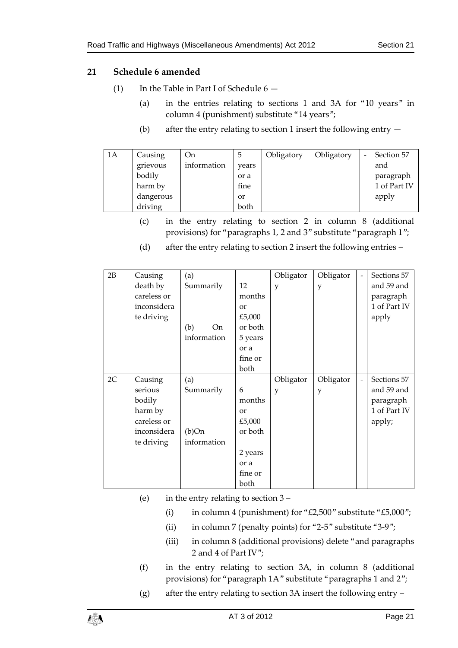### <span id="page-20-0"></span>**21 Schedule 6 amended**

- (1) In the Table in Part I of Schedule  $6 -$ 
	- (a) in the entries relating to sections 1 and 3A for "10 years" in column 4 (punishment) substitute "14 years";
	- (b) after the entry relating to section 1 insert the following entry —

| 1A | Causing   | <b>On</b>   | $\circ$ | Obligatory | Obligatory | Section 57   |
|----|-----------|-------------|---------|------------|------------|--------------|
|    | grievous  | information | vears   |            |            | and          |
|    | bodily    |             | or a    |            |            | paragraph    |
|    | harm by   |             | fine    |            |            | 1 of Part IV |
|    | dangerous |             | or      |            |            | apply        |
|    | driving   |             | both    |            |            |              |

(c) in the entry relating to section 2 in column 8 (additional provisions) for "paragraphs 1, 2 and 3" substitute "paragraph 1";

| 2B | Causing     | (a)         |           | Obligator | Obligator | $\overline{\phantom{a}}$ | Sections 57  |
|----|-------------|-------------|-----------|-----------|-----------|--------------------------|--------------|
|    | death by    | Summarily   | 12        | y         | y         |                          | and 59 and   |
|    | careless or |             | months    |           |           |                          | paragraph    |
|    | inconsidera |             | or        |           |           |                          | 1 of Part IV |
|    | te driving  |             | £5,000    |           |           |                          | apply        |
|    |             | On<br>(b)   | or both   |           |           |                          |              |
|    |             | information | 5 years   |           |           |                          |              |
|    |             |             | or a      |           |           |                          |              |
|    |             |             | fine or   |           |           |                          |              |
|    |             |             | both      |           |           |                          |              |
| 2C | Causing     | (a)         |           | Obligator | Obligator | $\overline{\phantom{a}}$ | Sections 57  |
|    | serious     | Summarily   | 6         | y         | y         |                          | and 59 and   |
|    | bodily      |             | months    |           |           |                          | paragraph    |
|    | harm by     |             | <b>or</b> |           |           |                          | 1 of Part IV |
|    | careless or |             | £5,000    |           |           |                          | apply;       |
|    | inconsidera | (b)On       | or both   |           |           |                          |              |
|    | te driving  | information |           |           |           |                          |              |
|    |             |             | 2 years   |           |           |                          |              |
|    |             |             | or a      |           |           |                          |              |
|    |             |             | fine or   |           |           |                          |              |
|    |             |             | both      |           |           |                          |              |

(d) after the entry relating to section 2 insert the following entries –

- (e) in the entry relating to section 3
	- (i) in column 4 (punishment) for " $£2,500$ " substitute " $£5,000$ ";
	- (ii) in column 7 (penalty points) for "2-5" substitute "3-9";
	- (iii) in column 8 (additional provisions) delete "and paragraphs 2 and 4 of Part IV";
- (f) in the entry relating to section 3A, in column 8 (additional provisions) for "paragraph 1A" substitute "paragraphs 1 and 2";
- (g) after the entry relating to section 3A insert the following entry –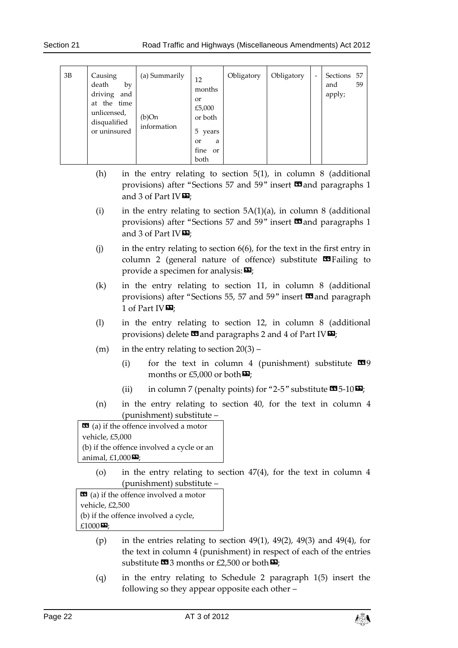#### Section 21 Road Traffic and Highways (Miscellaneous Amendments) Act 2012

| 3B | Causing<br>death<br>by<br>driving<br>and<br>the time<br>at<br>unlicensed,<br>disqualified<br>or uninsured | (a) Summarily<br>(b)On<br>information | 12<br>months<br><sub>or</sub><br>£5,000<br>or both<br>5<br>years<br><sub>or</sub><br>a<br>fine<br><sub>or</sub><br>both | Obligatory | Obligatory | - | Sections<br>and<br>apply; | 57<br>59 |
|----|-----------------------------------------------------------------------------------------------------------|---------------------------------------|-------------------------------------------------------------------------------------------------------------------------|------------|------------|---|---------------------------|----------|
|----|-----------------------------------------------------------------------------------------------------------|---------------------------------------|-------------------------------------------------------------------------------------------------------------------------|------------|------------|---|---------------------------|----------|

- (h) in the entry relating to section 5(1), in column 8 (additional provisions) after "Sections 57 and 59" insert  $\Box$  and paragraphs 1 and 3 of Part IV $\mathbf{E}$ ;
- (i) in the entry relating to section  $5A(1)(a)$ , in column 8 (additional provisions) after "Sections 57 and 59" insert **II** and paragraphs 1 and 3 of Part IV $\mathbf{D}$ ;
- (i) in the entry relating to section  $6(6)$ , for the text in the first entry in column 2 (general nature of offence) substitute  $\Box$  Failing to provide a specimen for analysis:  $\mathbf{E}$ ;
- (k) in the entry relating to section 11, in column 8 (additional provisions) after "Sections 55, 57 and 59" insert  $\blacksquare$  and paragraph 1 of Part IVE:
- (l) in the entry relating to section 12, in column 8 (additional provisions) delete  $\mathbf{\Omega}$  and paragraphs 2 and 4 of Part IV $\mathbf{\Omega}$ ;
- (m) in the entry relating to section  $20(3)$ 
	- (i) for the text in column 4 (punishment) substitute  $\blacksquare$ 9 months or £5,000 or both $\boldsymbol{\mathsf{E}}$ ;
	- (ii) in column 7 (penalty points) for "2-5" substitute  $\mathbf{C}$ 5-10 $\mathbf{D}$ ;
- (n) in the entry relating to section 40, for the text in column 4 (punishment) substitute –

 $\bullet$  (a) if the offence involved a motor vehicle, £5,000 (b) if the offence involved a cycle or an animal,  $£1,000$ <sup> $\Box$ </sup>;

> (o) in the entry relating to section 47(4), for the text in column 4 (punishment) substitute –

 $\mathbf{G}$  (a) if the offence involved a motor vehicle, £2,500 (b) if the offence involved a cycle, £1000 $\mathbf{E}$ ;

- (p) in the entries relating to section  $49(1)$ ,  $49(2)$ ,  $49(3)$  and  $49(4)$ , for the text in column 4 (punishment) in respect of each of the entries substitute  $\mathbf{3}$  months or £2,500 or both  $\mathbf{2}$ ;
- (q) in the entry relating to Schedule 2 paragraph 1(5) insert the following so they appear opposite each other –

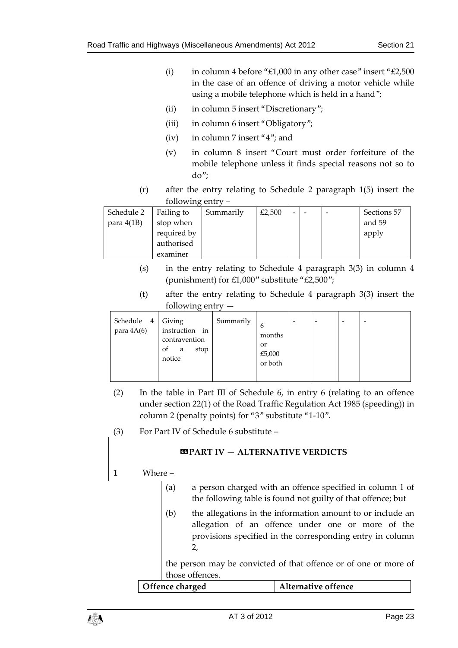- (i) in column 4 before "£1,000 in any other case" insert " $£2,500$ in the case of an offence of driving a motor vehicle while using a mobile telephone which is held in a hand";
- (ii) in column 5 insert "Discretionary";
- (iii) in column 6 insert "Obligatory";
- (iv) in column 7 insert "4"; and
- (v) in column 8 insert "Court must order forfeiture of the mobile telephone unless it finds special reasons not so to do";
- (r) after the entry relating to Schedule 2 paragraph 1(5) insert the following entry –

| Schedule 2   | Failing to  | Summarily | £2,500 | $\overline{\phantom{0}}$ |  | Sections 57 |
|--------------|-------------|-----------|--------|--------------------------|--|-------------|
| para $4(1B)$ | stop when   |           |        |                          |  | and 59      |
|              | required by |           |        |                          |  | apply       |
|              | authorised  |           |        |                          |  |             |
|              | examiner    |           |        |                          |  |             |

- (s) in the entry relating to Schedule 4 paragraph 3(3) in column 4 (punishment) for £1,000" substitute "£2,500";
- (t) after the entry relating to Schedule 4 paragraph 3(3) insert the following entry —

| Schedule 4<br>para $4A(6)$ | Giving<br>instruction in<br>contravention<br>stop<br>0t<br>a<br>notice | Summarily | 6<br>months<br><sub>or</sub><br>£5,000<br>or both | $\overline{\phantom{a}}$ | ۰ |  |
|----------------------------|------------------------------------------------------------------------|-----------|---------------------------------------------------|--------------------------|---|--|
|                            |                                                                        |           |                                                   |                          |   |  |

- (2) In the table in Part III of Schedule 6, in entry 6 (relating to an offence under section 22(1) of the Road Traffic Regulation Act 1985 (speeding)) in column 2 (penalty points) for "3" substitute "1-10".
- (3) For Part IV of Schedule 6 substitute –

#### **«PART IV — ALTERNATIVE VERDICTS**

### **1** Where –

- (a) a person charged with an offence specified in column 1 of the following table is found not guilty of that offence; but
- (b) the allegations in the information amount to or include an allegation of an offence under one or more of the provisions specified in the corresponding entry in column 2,

the person may be convicted of that offence or of one or more of those offences.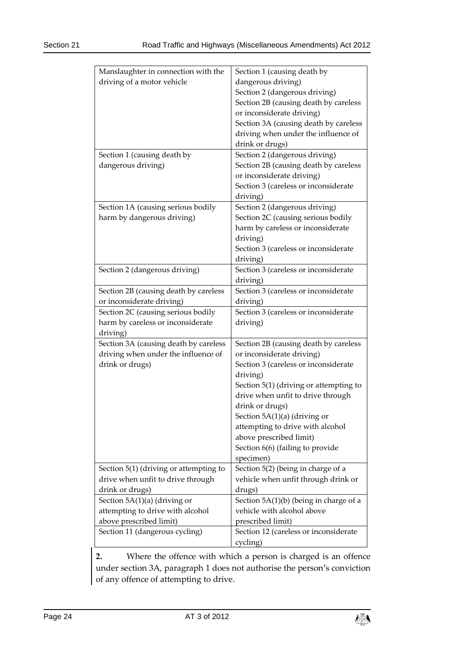| Manslaughter in connection with the    | Section 1 (causing death by                       |  |  |  |
|----------------------------------------|---------------------------------------------------|--|--|--|
| driving of a motor vehicle             | dangerous driving)                                |  |  |  |
|                                        | Section 2 (dangerous driving)                     |  |  |  |
|                                        | Section 2B (causing death by careless             |  |  |  |
|                                        | or inconsiderate driving)                         |  |  |  |
|                                        | Section 3A (causing death by careless             |  |  |  |
|                                        | driving when under the influence of               |  |  |  |
|                                        | drink or drugs)                                   |  |  |  |
| Section 1 (causing death by            | Section 2 (dangerous driving)                     |  |  |  |
| dangerous driving)                     | Section 2B (causing death by careless             |  |  |  |
|                                        | or inconsiderate driving)                         |  |  |  |
|                                        | Section 3 (careless or inconsiderate              |  |  |  |
|                                        |                                                   |  |  |  |
|                                        | driving)                                          |  |  |  |
| Section 1A (causing serious bodily     | Section 2 (dangerous driving)                     |  |  |  |
| harm by dangerous driving)             | Section 2C (causing serious bodily                |  |  |  |
|                                        | harm by careless or inconsiderate                 |  |  |  |
|                                        | driving)                                          |  |  |  |
|                                        | Section 3 (careless or inconsiderate              |  |  |  |
|                                        | driving)                                          |  |  |  |
| Section 2 (dangerous driving)          | Section 3 (careless or inconsiderate              |  |  |  |
|                                        | driving)                                          |  |  |  |
| Section 2B (causing death by careless  | Section 3 (careless or inconsiderate              |  |  |  |
| or inconsiderate driving)              | driving)                                          |  |  |  |
| Section 2C (causing serious bodily     | Section 3 (careless or inconsiderate              |  |  |  |
|                                        |                                                   |  |  |  |
| harm by careless or inconsiderate      | driving)                                          |  |  |  |
| driving)                               |                                                   |  |  |  |
| Section 3A (causing death by careless  | Section 2B (causing death by careless             |  |  |  |
| driving when under the influence of    | or inconsiderate driving)                         |  |  |  |
|                                        | Section 3 (careless or inconsiderate              |  |  |  |
| drink or drugs)                        |                                                   |  |  |  |
|                                        | driving)                                          |  |  |  |
|                                        | Section $5(1)$ (driving or attempting to          |  |  |  |
|                                        | drive when unfit to drive through                 |  |  |  |
|                                        | drink or drugs)                                   |  |  |  |
|                                        | Section $5A(1)(a)$ (driving or                    |  |  |  |
|                                        | attempting to drive with alcohol                  |  |  |  |
|                                        | above prescribed limit)                           |  |  |  |
|                                        | Section 6(6) (failing to provide                  |  |  |  |
|                                        | specimen)                                         |  |  |  |
| Section 5(1) (driving or attempting to | Section 5(2) (being in charge of a                |  |  |  |
| drive when unfit to drive through      | vehicle when unfit through drink or               |  |  |  |
| drink or drugs)                        | drugs)                                            |  |  |  |
| Section $5A(1)(a)$ (driving or         | Section 5A(1)(b) (being in charge of a            |  |  |  |
| attempting to drive with alcohol       | vehicle with alcohol above                        |  |  |  |
| above prescribed limit)                | prescribed limit)                                 |  |  |  |
| Section 11 (dangerous cycling)         | Section 12 (careless or inconsiderate<br>cycling) |  |  |  |

**2.** Where the offence with which a person is charged is an offence under section 3A, paragraph 1 does not authorise the person's conviction of any offence of attempting to drive.

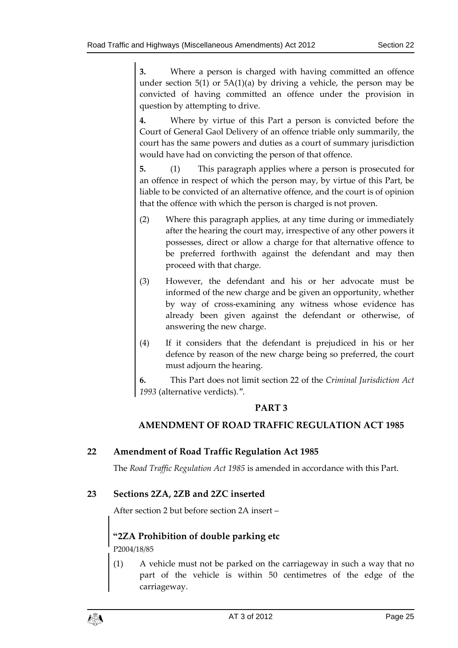**3.** Where a person is charged with having committed an offence under section  $5(1)$  or  $5A(1)(a)$  by driving a vehicle, the person may be convicted of having committed an offence under the provision in question by attempting to drive.

**4.** Where by virtue of this Part a person is convicted before the Court of General Gaol Delivery of an offence triable only summarily, the court has the same powers and duties as a court of summary jurisdiction would have had on convicting the person of that offence.

**5.** (1) This paragraph applies where a person is prosecuted for an offence in respect of which the person may, by virtue of this Part, be liable to be convicted of an alternative offence, and the court is of opinion that the offence with which the person is charged is not proven.

- (2) Where this paragraph applies, at any time during or immediately after the hearing the court may, irrespective of any other powers it possesses, direct or allow a charge for that alternative offence to be preferred forthwith against the defendant and may then proceed with that charge.
- (3) However, the defendant and his or her advocate must be informed of the new charge and be given an opportunity, whether by way of cross-examining any witness whose evidence has already been given against the defendant or otherwise, of answering the new charge.
- (4) If it considers that the defendant is prejudiced in his or her defence by reason of the new charge being so preferred, the court must adjourn the hearing.

**6.** This Part does not limit section 22 of the *Criminal Jurisdiction Act 1993* (alternative verdicts).".

### **PART 3**

### **AMENDMENT OF ROAD TRAFFIC REGULATION ACT 1985**

### <span id="page-24-0"></span>**22 Amendment of Road Traffic Regulation Act 1985**

The *Road Traffic Regulation Act 1985* is amended in accordance with this Part.

### <span id="page-24-1"></span>**23 Sections 2ZA, 2ZB and 2ZC inserted**

After section 2 but before section 2A insert –

### **"2ZA Prohibition of double parking etc**

P2004/18/85

(1) A vehicle must not be parked on the carriageway in such a way that no part of the vehicle is within 50 centimetres of the edge of the carriageway.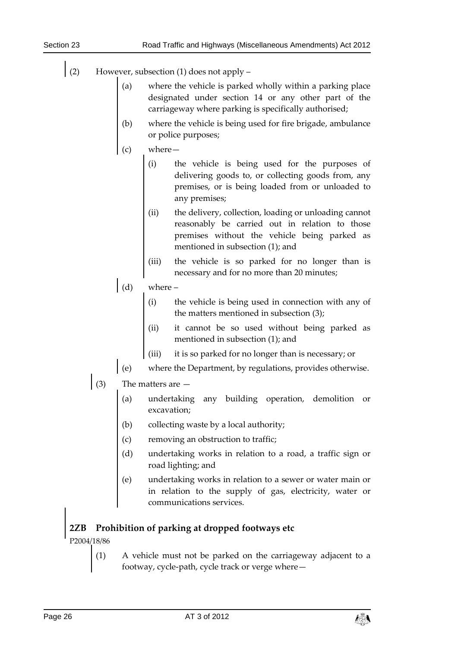- (2) However, subsection (1) does not apply
	- where the vehicle is parked wholly within a parking place designated under section 14 or any other part of the carriageway where parking is specifically authorised;
	- (b) where the vehicle is being used for fire brigade, ambulance or police purposes;
	- $where -$ 
		- (i) the vehicle is being used for the purposes of delivering goods to, or collecting goods from, any premises, or is being loaded from or unloaded to any premises;
		- (ii) the delivery, collection, loading or unloading cannot reasonably be carried out in relation to those premises without the vehicle being parked as mentioned in subsection (1); and
		- (iii) the vehicle is so parked for no longer than is necessary and for no more than 20 minutes;

# $\int$  (d) where –

- (i) the vehicle is being used in connection with any of the matters mentioned in subsection (3);
- (ii) it cannot be so used without being parked as mentioned in subsection (1); and
- (iii) it is so parked for no longer than is necessary; or
- (e) where the Department, by regulations, provides otherwise.
- (3) The matters are
	- (a) undertaking any building operation, demolition or excavation;
	- (b) collecting waste by a local authority;
	- (c) removing an obstruction to traffic;
	- (d) undertaking works in relation to a road, a traffic sign or road lighting; and
	- (e) undertaking works in relation to a sewer or water main or in relation to the supply of gas, electricity, water or communications services.

# **2ZB Prohibition of parking at dropped footways etc**

P2004/18/86

(1) A vehicle must not be parked on the carriageway adjacent to a footway, cycle-path, cycle track or verge where—

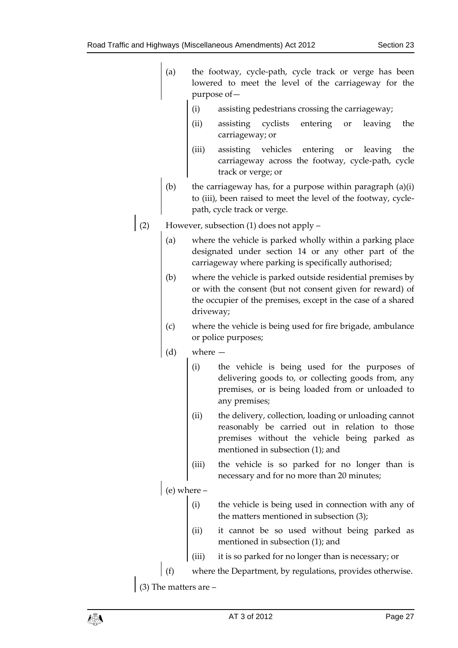- (a) the footway, cycle-path, cycle track or verge has been lowered to meet the level of the carriageway for the purpose of—
	- (i) assisting pedestrians crossing the carriageway;
	- (ii) assisting cyclists entering or leaving the carriageway; or
	- (iii) assisting vehicles entering or leaving the carriageway across the footway, cycle-path, cycle track or verge; or
- (b) the carriageway has, for a purpose within paragraph  $(a)(i)$ to (iii), been raised to meet the level of the footway, cyclepath, cycle track or verge.
- (2) However, subsection (1) does not apply
	- (a) where the vehicle is parked wholly within a parking place designated under section 14 or any other part of the carriageway where parking is specifically authorised;
	- (b) where the vehicle is parked outside residential premises by or with the consent (but not consent given for reward) of the occupier of the premises, except in the case of a shared driveway;
	- (c) where the vehicle is being used for fire brigade, ambulance or police purposes;
	- (d) where
		- (i) the vehicle is being used for the purposes of delivering goods to, or collecting goods from, any premises, or is being loaded from or unloaded to any premises;
		- (ii) the delivery, collection, loading or unloading cannot reasonably be carried out in relation to those premises without the vehicle being parked as mentioned in subsection (1); and
		- (iii) the vehicle is so parked for no longer than is necessary and for no more than 20 minutes;

 $(e)$  where  $-$ 

- (i) the vehicle is being used in connection with any of the matters mentioned in subsection (3);
- (ii) it cannot be so used without being parked as mentioned in subsection (1); and
- (iii) it is so parked for no longer than is necessary; or
- where the Department, by regulations, provides otherwise.

(3) The matters are –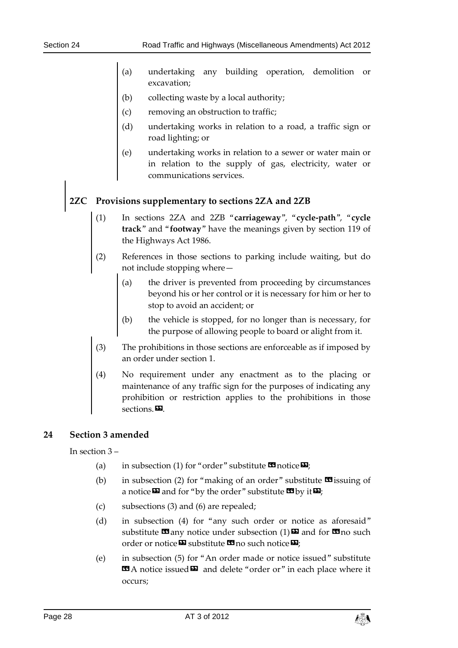- (a) undertaking any building operation, demolition or excavation;
- (b) collecting waste by a local authority;
- (c) removing an obstruction to traffic;
- (d) undertaking works in relation to a road, a traffic sign or road lighting; or
- (e) undertaking works in relation to a sewer or water main or in relation to the supply of gas, electricity, water or communications services.

# **2ZC Provisions supplementary to sections 2ZA and 2ZB**

- (1) In sections 2ZA and 2ZB "**carriageway**", "**cycle-path**", "**cycle track**" and "**footway**" have the meanings given by section 119 of the Highways Act 1986.
- (2) References in those sections to parking include waiting, but do not include stopping where—
	- (a) the driver is prevented from proceeding by circumstances beyond his or her control or it is necessary for him or her to stop to avoid an accident; or
	- (b) the vehicle is stopped, for no longer than is necessary, for the purpose of allowing people to board or alight from it.
- (3) The prohibitions in those sections are enforceable as if imposed by an order under section 1.
- No requirement under any enactment as to the placing or maintenance of any traffic sign for the purposes of indicating any prohibition or restriction applies to the prohibitions in those sections.

### <span id="page-27-0"></span>**24 Section 3 amended**

In section 3 –

- (a) in subsection (1) for "order" substitute  $\mathbf{\Omega}$  notice  $\mathbf{\Sigma}$ ;
- (b) in subsection (2) for "making of an order" substitute  $\mathbf{\mathfrak{S}}$  issuing of a notice  $\boldsymbol{\Xi}$  and for "by the order" substitute  $\boldsymbol{\Xi}$  by it  $\boldsymbol{\Xi}$ ;
- (c) subsections (3) and (6) are repealed;
- (d) in subsection (4) for "any such order or notice as aforesaid" substitute  $\mathbf{G}$  any notice under subsection (1)  $\mathbf{E}$  and for  $\mathbf{G}$  no such order or notice  $\boldsymbol{\mathbb{\Sigma}}$  substitute  $\boldsymbol{\mathbb{\Xi}}$  no such notice  $\boldsymbol{\mathbb{\Sigma}}$ ;
- (e) in subsection (5) for "An order made or notice issued" substitute **EA** notice issued **E** and delete "order or" in each place where it occurs;

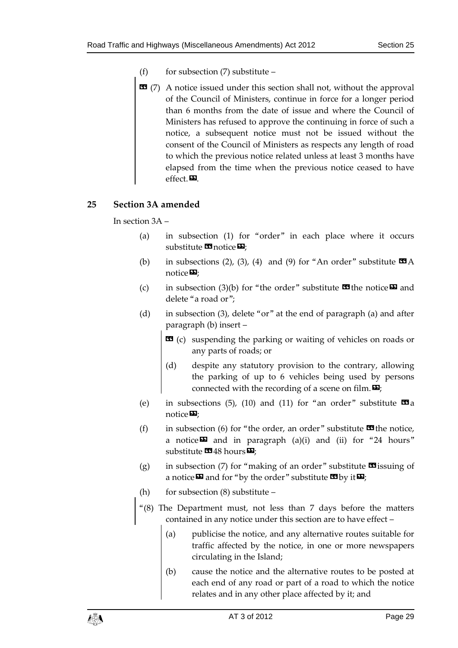- (f) for subsection  $(7)$  substitute –
- **EE** (7) A notice issued under this section shall not, without the approval of the Council of Ministers, continue in force for a longer period than 6 months from the date of issue and where the Council of Ministers has refused to approve the continuing in force of such a notice, a subsequent notice must not be issued without the consent of the Council of Ministers as respects any length of road to which the previous notice related unless at least 3 months have elapsed from the time when the previous notice ceased to have effect.<sub> $\blacksquare$ .</sub>

### <span id="page-28-0"></span>**25 Section 3A amended**

In section 3A –

- (a) in subsection (1) for "order" in each place where it occurs substitute  $\blacksquare$  notice  $\blacksquare$ ;
- (b) in subsections (2), (3), (4) and (9) for "An order" substitute  $\Box A$ notice<sup>D</sup>:
- (c) in subsection (3)(b) for "the order" substitute  $\mathbf{w}$  the notice  $\mathbf{w}$  and delete "a road or";
- (d) in subsection (3), delete "or" at the end of paragraph (a) and after paragraph (b) insert –
	- $\bullet$  (c) suspending the parking or waiting of vehicles on roads or any parts of roads; or
	- (d) despite any statutory provision to the contrary, allowing the parking of up to 6 vehicles being used by persons connected with the recording of a scene on film.  $\mathbf{E}$ ;
- (e) in subsections (5), (10) and (11) for "an order" substitute  $\mathbf{I}$ a notice $\mathbf{E}$ ;
- (f) in subsection (6) for "the order, an order" substitute  $\blacksquare$  the notice, a notice $\boldsymbol{\mathsf{\Xi}}$  and in paragraph (a)(i) and (ii) for "24 hours" substitute  $\mathbf{I}$ 48 hours $\mathbf{E}$ ;
- (g) in subsection (7) for "making of an order" substitute  $\blacksquare$  issuing of a notice  $\boldsymbol{\Sigma}$  and for "by the order" substitute  $\boldsymbol{\Sigma}$  by it  $\boldsymbol{\Sigma}$ ;
- (h) for subsection  $(8)$  substitute –
- "(8) The Department must, not less than 7 days before the matters contained in any notice under this section are to have effect –
	- (a) publicise the notice, and any alternative routes suitable for traffic affected by the notice, in one or more newspapers circulating in the Island;
	- (b) cause the notice and the alternative routes to be posted at each end of any road or part of a road to which the notice relates and in any other place affected by it; and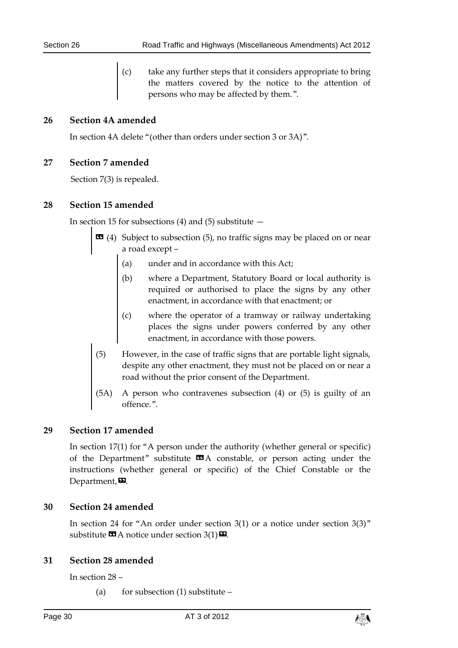(c) take any further steps that it considers appropriate to bring the matters covered by the notice to the attention of persons who may be affected by them.".

### <span id="page-29-0"></span>**26 Section 4A amended**

In section 4A delete "(other than orders under section 3 or 3A)".

#### <span id="page-29-1"></span>**27 Section 7 amended**

Section 7(3) is repealed.

### <span id="page-29-2"></span>**28 Section 15 amended**

In section 15 for subsections  $(4)$  and  $(5)$  substitute  $-$ 

- **13** (4) Subject to subsection (5), no traffic signs may be placed on or near a road except –
	- (a) under and in accordance with this Act;
	- (b) where a Department, Statutory Board or local authority is required or authorised to place the signs by any other enactment, in accordance with that enactment; or
	- (c) where the operator of a tramway or railway undertaking places the signs under powers conferred by any other enactment, in accordance with those powers.
- (5) However, in the case of traffic signs that are portable light signals, despite any other enactment, they must not be placed on or near a road without the prior consent of the Department.
- (5A) A person who contravenes subsection (4) or (5) is guilty of an offence.".

### <span id="page-29-3"></span>**29 Section 17 amended**

In section 17(1) for "A person under the authority (whether general or specific) of the Department" substitute  $\Box A$  constable, or person acting under the instructions (whether general or specific) of the Chief Constable or the Department, $\boldsymbol{\mathsf{E}}$ .

### <span id="page-29-4"></span>**30 Section 24 amended**

In section 24 for "An order under section 3(1) or a notice under section 3(3)" substitute  $\mathbf{\Omega}$  A notice under section 3(1) $\mathbf{\Omega}$ .

### <span id="page-29-5"></span>**31 Section 28 amended**

In section 28 –

(a) for subsection (1) substitute –

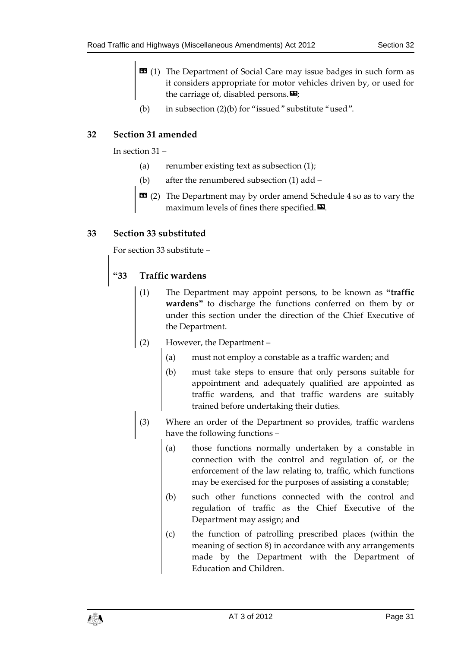- $\text{1}$  (1) The Department of Social Care may issue badges in such form as it considers appropriate for motor vehicles driven by, or used for the carriage of, disabled persons. $\mathbf{E}$ ;
- (b) in subsection (2)(b) for "issued" substitute "used".

### <span id="page-30-0"></span>**32 Section 31 amended**

In section 31 –

- (a) renumber existing text as subsection (1);
- (b) after the renumbered subsection (1) add –
- **EE** (2) The Department may by order amend Schedule 4 so as to vary the maximum levels of fines there specified. $\boldsymbol{\Sigma}$ .

### <span id="page-30-1"></span>**33 Section 33 substituted**

For section 33 substitute –

### **"33 Traffic wardens**

- The Department may appoint persons, to be known as "traffic **wardens"** to discharge the functions conferred on them by or under this section under the direction of the Chief Executive of the Department.
- (2) However, the Department
	- (a) must not employ a constable as a traffic warden; and
	- (b) must take steps to ensure that only persons suitable for appointment and adequately qualified are appointed as traffic wardens, and that traffic wardens are suitably trained before undertaking their duties.
- (3) Where an order of the Department so provides, traffic wardens have the following functions –
	- (a) those functions normally undertaken by a constable in connection with the control and regulation of, or the enforcement of the law relating to, traffic, which functions may be exercised for the purposes of assisting a constable;
	- (b) such other functions connected with the control and regulation of traffic as the Chief Executive of the Department may assign; and
	- (c) the function of patrolling prescribed places (within the meaning of section 8) in accordance with any arrangements made by the Department with the Department of Education and Children.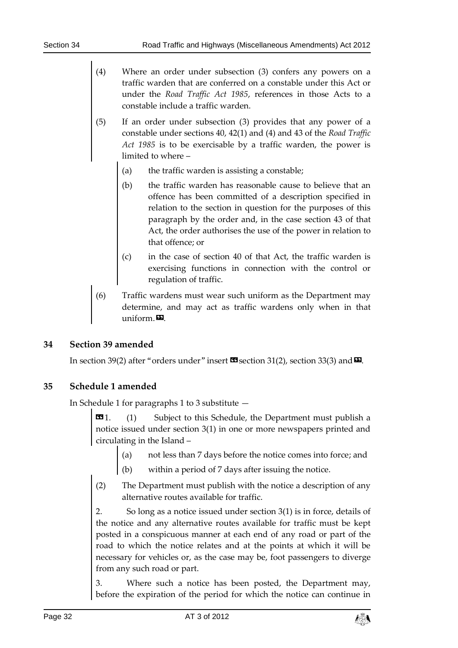- (4) Where an order under subsection (3) confers any powers on a traffic warden that are conferred on a constable under this Act or under the *Road Traffic Act 1985*, references in those Acts to a constable include a traffic warden.
- (5) If an order under subsection (3) provides that any power of a constable under sections 40, 42(1) and (4) and 43 of the *Road Traffic Act 1985* is to be exercisable by a traffic warden, the power is limited to where –
	- (a) the traffic warden is assisting a constable;
	- (b) the traffic warden has reasonable cause to believe that an offence has been committed of a description specified in relation to the section in question for the purposes of this paragraph by the order and, in the case section 43 of that Act, the order authorises the use of the power in relation to that offence; or
	- (c) in the case of section 40 of that Act, the traffic warden is exercising functions in connection with the control or regulation of traffic.
- (6) Traffic wardens must wear such uniform as the Department may determine, and may act as traffic wardens only when in that  $uniform.$

### <span id="page-31-0"></span>**34 Section 39 amended**

In section 39(2) after "orders under" insert  $\mathbb{Z}$  section 31(2), section 33(3) and  $\mathbb{Z}$ .

### <span id="page-31-1"></span>**35 Schedule 1 amended**

In Schedule 1 for paragraphs 1 to 3 substitute —

 $\text{11}$  (1) Subject to this Schedule, the Department must publish a notice issued under section 3(1) in one or more newspapers printed and circulating in the Island –

- (a) not less than 7 days before the notice comes into force; and
- (b) within a period of 7 days after issuing the notice.
- (2) The Department must publish with the notice a description of any alternative routes available for traffic.

2. So long as a notice issued under section 3(1) is in force, details of the notice and any alternative routes available for traffic must be kept posted in a conspicuous manner at each end of any road or part of the road to which the notice relates and at the points at which it will be necessary for vehicles or, as the case may be, foot passengers to diverge from any such road or part.

3. Where such a notice has been posted, the Department may, before the expiration of the period for which the notice can continue in

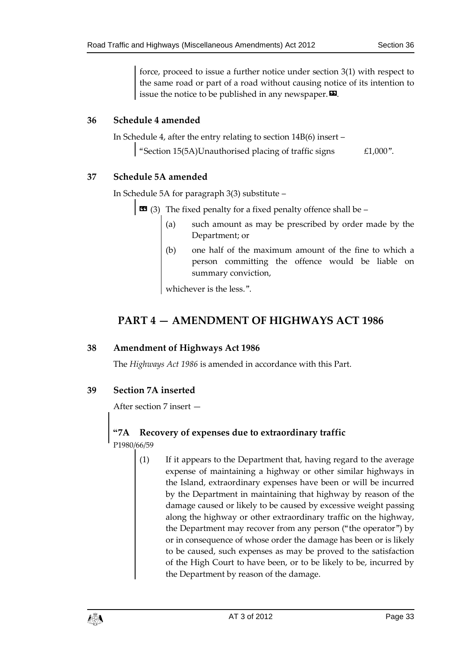force, proceed to issue a further notice under section 3(1) with respect to the same road or part of a road without causing notice of its intention to issue the notice to be published in any newspaper.  $\boldsymbol{\Sigma}$ .

### <span id="page-32-0"></span>**36 Schedule 4 amended**

In Schedule 4, after the entry relating to section 14B(6) insert –

"Section 15(5A)Unauthorised placing of traffic signs £1,000".

### <span id="page-32-1"></span>**37 Schedule 5A amended**

In Schedule 5A for paragraph 3(3) substitute –

 $\bullet$  (3) The fixed penalty for a fixed penalty offence shall be –

- (a) such amount as may be prescribed by order made by the Department; or
- (b) one half of the maximum amount of the fine to which a person committing the offence would be liable on summary conviction,

whichever is the less.".

# <span id="page-32-2"></span>**PART 4 — AMENDMENT OF HIGHWAYS ACT 1986**

### <span id="page-32-3"></span>**38 Amendment of Highways Act 1986**

The *Highways Act 1986* is amended in accordance with this Part.

### <span id="page-32-4"></span>**39 Section 7A inserted**

After section 7 insert —

# **"7A Recovery of expenses due to extraordinary traffic**

P1980/66/59

(1) If it appears to the Department that, having regard to the average expense of maintaining a highway or other similar highways in the Island, extraordinary expenses have been or will be incurred by the Department in maintaining that highway by reason of the damage caused or likely to be caused by excessive weight passing along the highway or other extraordinary traffic on the highway, the Department may recover from any person ("the operator") by or in consequence of whose order the damage has been or is likely to be caused, such expenses as may be proved to the satisfaction of the High Court to have been, or to be likely to be, incurred by the Department by reason of the damage.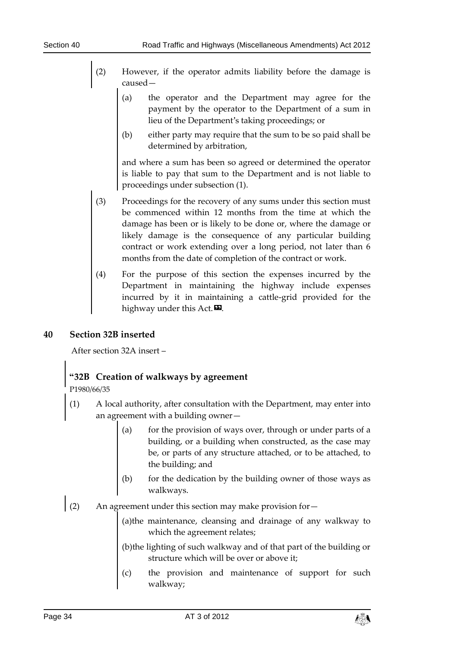- (2) However, if the operator admits liability before the damage is caused—
	- (a) the operator and the Department may agree for the payment by the operator to the Department of a sum in lieu of the Department's taking proceedings; or
	- (b) either party may require that the sum to be so paid shall be determined by arbitration,

and where a sum has been so agreed or determined the operator is liable to pay that sum to the Department and is not liable to proceedings under subsection (1).

- (3) Proceedings for the recovery of any sums under this section must be commenced within 12 months from the time at which the damage has been or is likely to be done or, where the damage or likely damage is the consequence of any particular building contract or work extending over a long period, not later than 6 months from the date of completion of the contract or work.
- (4) For the purpose of this section the expenses incurred by the Department in maintaining the highway include expenses incurred by it in maintaining a cattle-grid provided for the highway under this Act. $\mathbf{D}$ .

### <span id="page-33-0"></span>**40 Section 32B inserted**

After section 32A insert –

### **"32B Creation of walkways by agreement**

P1980/66/35

- (1) A local authority, after consultation with the Department, may enter into an agreement with a building owner—
	- (a) for the provision of ways over, through or under parts of a building, or a building when constructed, as the case may be, or parts of any structure attached, or to be attached, to the building; and
	- (b) for the dedication by the building owner of those ways as walkways.
- (2) An agreement under this section may make provision for

(a)the maintenance, cleansing and drainage of any walkway to which the agreement relates;

(b)the lighting of such walkway and of that part of the building or structure which will be over or above it;

(c) the provision and maintenance of support for such walkway;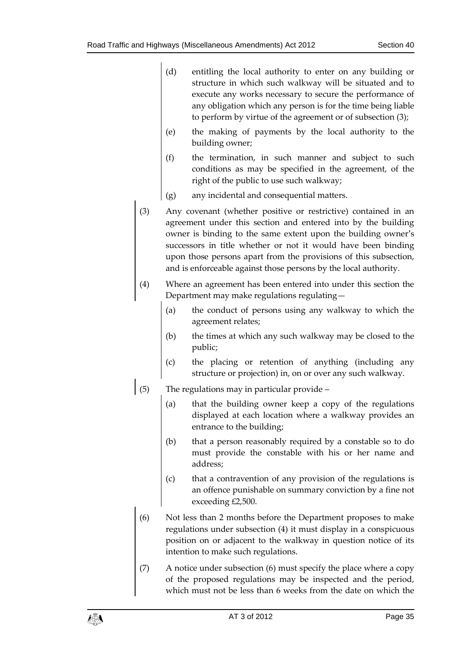- (d) entitling the local authority to enter on any building or structure in which such walkway will be situated and to execute any works necessary to secure the performance of any obligation which any person is for the time being liable to perform by virtue of the agreement or of subsection (3);
- (e) the making of payments by the local authority to the building owner;
- (f) the termination, in such manner and subject to such conditions as may be specified in the agreement, of the right of the public to use such walkway;
- (g) any incidental and consequential matters.
- (3) Any covenant (whether positive or restrictive) contained in an agreement under this section and entered into by the building owner is binding to the same extent upon the building owner's successors in title whether or not it would have been binding upon those persons apart from the provisions of this subsection, and is enforceable against those persons by the local authority.
- (4) Where an agreement has been entered into under this section the Department may make regulations regulating—
	- (a) the conduct of persons using any walkway to which the agreement relates;
	- (b) the times at which any such walkway may be closed to the public;
	- (c) the placing or retention of anything (including any structure or projection) in, on or over any such walkway.
- (5) The regulations may in particular provide
	- (a) that the building owner keep a copy of the regulations displayed at each location where a walkway provides an entrance to the building;
	- (b) that a person reasonably required by a constable so to do must provide the constable with his or her name and address;
	- (c) that a contravention of any provision of the regulations is an offence punishable on summary conviction by a fine not exceeding £2,500.
- (6) Not less than 2 months before the Department proposes to make regulations under subsection (4) it must display in a conspicuous position on or adjacent to the walkway in question notice of its intention to make such regulations.
- (7) A notice under subsection (6) must specify the place where a copy of the proposed regulations may be inspected and the period, which must not be less than 6 weeks from the date on which the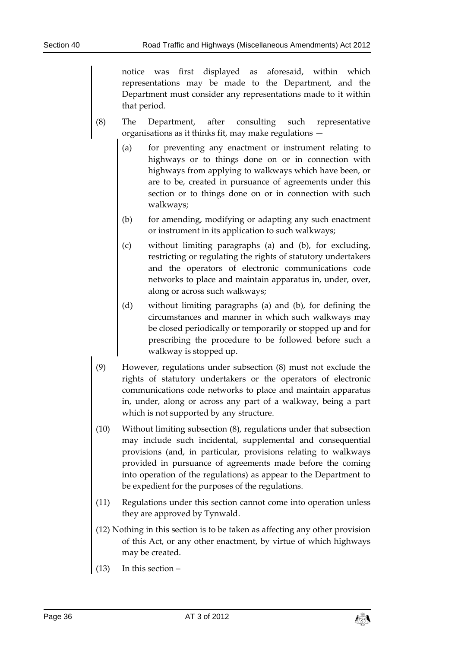notice was first displayed as aforesaid, within which representations may be made to the Department, and the Department must consider any representations made to it within that period.

- (8) The Department, after consulting such representative organisations as it thinks fit, may make regulations —
	- (a) for preventing any enactment or instrument relating to highways or to things done on or in connection with highways from applying to walkways which have been, or are to be, created in pursuance of agreements under this section or to things done on or in connection with such walkways;
	- (b) for amending, modifying or adapting any such enactment or instrument in its application to such walkways;
	- (c) without limiting paragraphs (a) and (b), for excluding, restricting or regulating the rights of statutory undertakers and the operators of electronic communications code networks to place and maintain apparatus in, under, over, along or across such walkways;
	- (d) without limiting paragraphs (a) and (b), for defining the circumstances and manner in which such walkways may be closed periodically or temporarily or stopped up and for prescribing the procedure to be followed before such a walkway is stopped up.
- (9) However, regulations under subsection (8) must not exclude the rights of statutory undertakers or the operators of electronic communications code networks to place and maintain apparatus in, under, along or across any part of a walkway, being a part which is not supported by any structure.
- (10) Without limiting subsection (8), regulations under that subsection may include such incidental, supplemental and consequential provisions (and, in particular, provisions relating to walkways provided in pursuance of agreements made before the coming into operation of the regulations) as appear to the Department to be expedient for the purposes of the regulations.
- (11) Regulations under this section cannot come into operation unless they are approved by Tynwald.
- (12) Nothing in this section is to be taken as affecting any other provision of this Act, or any other enactment, by virtue of which highways may be created.
- (13) In this section –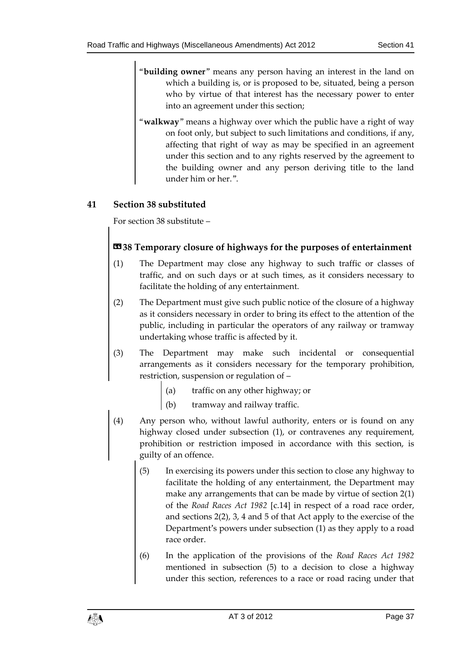- "**building owner**" means any person having an interest in the land on which a building is, or is proposed to be, situated, being a person who by virtue of that interest has the necessary power to enter into an agreement under this section;
- "**walkway**" means a highway over which the public have a right of way on foot only, but subject to such limitations and conditions, if any, affecting that right of way as may be specified in an agreement under this section and to any rights reserved by the agreement to the building owner and any person deriving title to the land under him or her.".

### <span id="page-36-0"></span>**41 Section 38 substituted**

For section 38 substitute –

### **«38 Temporary closure of highways for the purposes of entertainment**

- (1) The Department may close any highway to such traffic or classes of traffic, and on such days or at such times, as it considers necessary to facilitate the holding of any entertainment.
- (2) The Department must give such public notice of the closure of a highway as it considers necessary in order to bring its effect to the attention of the public, including in particular the operators of any railway or tramway undertaking whose traffic is affected by it.
- (3) The Department may make such incidental or consequential arrangements as it considers necessary for the temporary prohibition, restriction, suspension or regulation of –
	- (a) traffic on any other highway; or
	- (b) tramway and railway traffic.
- (4) Any person who, without lawful authority, enters or is found on any highway closed under subsection (1), or contravenes any requirement, prohibition or restriction imposed in accordance with this section, is guilty of an offence.
	- (5) In exercising its powers under this section to close any highway to facilitate the holding of any entertainment, the Department may make any arrangements that can be made by virtue of section 2(1) of the *Road Races Act 1982* [c.14] in respect of a road race order, and sections 2(2), 3, 4 and 5 of that Act apply to the exercise of the Department's powers under subsection (1) as they apply to a road race order.
	- (6) In the application of the provisions of the *Road Races Act 1982* mentioned in subsection (5) to a decision to close a highway under this section, references to a race or road racing under that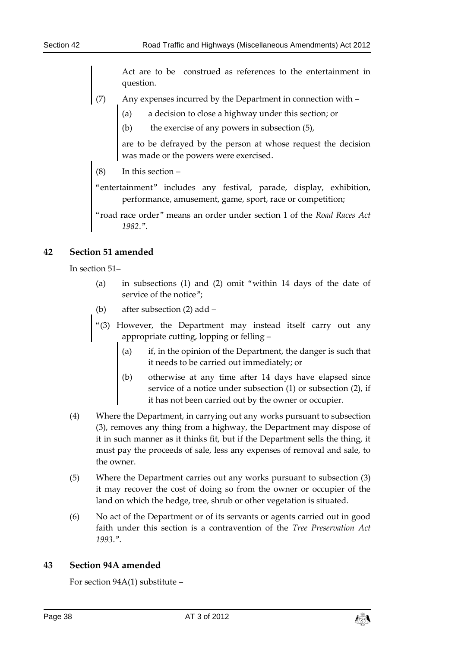Act are to be construed as references to the entertainment in question.

- (7) Any expenses incurred by the Department in connection with
	- (a) a decision to close a highway under this section; or
	- (b) the exercise of any powers in subsection (5),

are to be defrayed by the person at whose request the decision was made or the powers were exercised.

(8) In this section –

"entertainment" includes any festival, parade, display, exhibition, performance, amusement, game, sport, race or competition;

"road race order" means an order under section 1 of the *Road Races Act 1982*.".

### <span id="page-37-0"></span>**42 Section 51 amended**

In section 51–

- (a) in subsections (1) and (2) omit "within 14 days of the date of service of the notice";
- (b) after subsection (2) add –
- "(3) However, the Department may instead itself carry out any appropriate cutting, lopping or felling –
	- (a) if, in the opinion of the Department, the danger is such that it needs to be carried out immediately; or
	- (b) otherwise at any time after 14 days have elapsed since service of a notice under subsection (1) or subsection (2), if it has not been carried out by the owner or occupier.
- (4) Where the Department, in carrying out any works pursuant to subsection (3), removes any thing from a highway, the Department may dispose of it in such manner as it thinks fit, but if the Department sells the thing, it must pay the proceeds of sale, less any expenses of removal and sale, to the owner.
- (5) Where the Department carries out any works pursuant to subsection (3) it may recover the cost of doing so from the owner or occupier of the land on which the hedge, tree, shrub or other vegetation is situated.
- (6) No act of the Department or of its servants or agents carried out in good faith under this section is a contravention of the *Tree Preservation Act 1993*.".

#### <span id="page-37-1"></span>**43 Section 94A amended**

For section 94A(1) substitute –

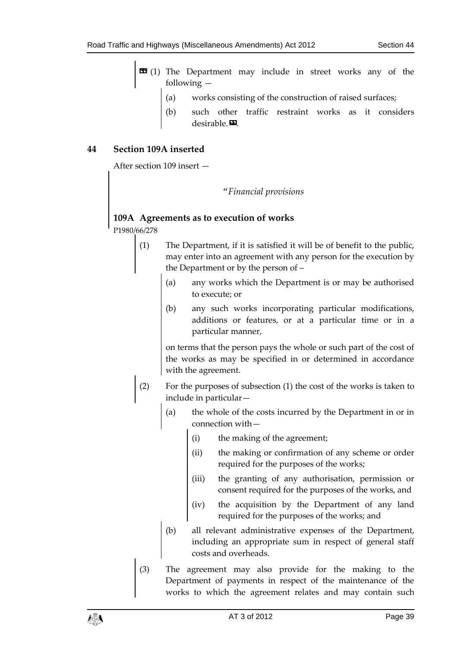- $\bullet$  (1) The Department may include in street works any of the following —
	- (a) works consisting of the construction of raised surfaces;
	- such other traffic restraint works as it considers desirable. $\blacksquare$ .

### <span id="page-38-0"></span>**44 Section 109A inserted**

After section 109 insert —

#### *"Financial provisions*

### **109A Agreements as to execution of works**

P1980/66/278

- (1) The Department, if it is satisfied it will be of benefit to the public, may enter into an agreement with any person for the execution by the Department or by the person of –
	- (a) any works which the Department is or may be authorised to execute; or
	- (b) any such works incorporating particular modifications, additions or features, or at a particular time or in a particular manner,

on terms that the person pays the whole or such part of the cost of the works as may be specified in or determined in accordance with the agreement.

- (2) For the purposes of subsection (1) the cost of the works is taken to include in particular—
	- (a) the whole of the costs incurred by the Department in or in connection with—
		- (i) the making of the agreement;
		- (ii) the making or confirmation of any scheme or order required for the purposes of the works;
		- (iii) the granting of any authorisation, permission or consent required for the purposes of the works, and
		- (iv) the acquisition by the Department of any land required for the purposes of the works; and
	- (b) all relevant administrative expenses of the Department, including an appropriate sum in respect of general staff costs and overheads.
- (3) The agreement may also provide for the making to the Department of payments in respect of the maintenance of the works to which the agreement relates and may contain such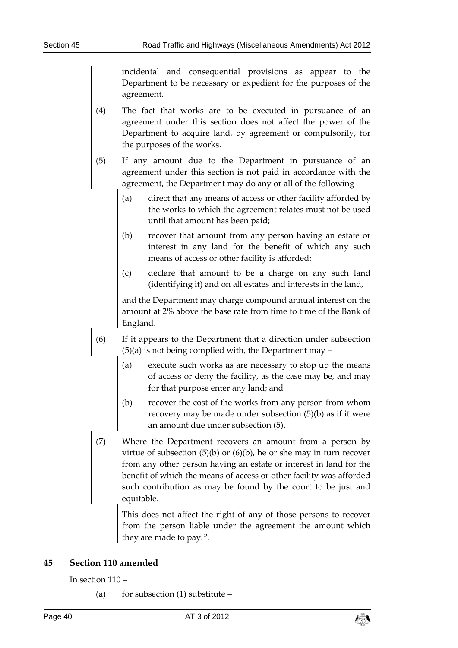incidental and consequential provisions as appear to the Department to be necessary or expedient for the purposes of the agreement.

- (4) The fact that works are to be executed in pursuance of an agreement under this section does not affect the power of the Department to acquire land, by agreement or compulsorily, for the purposes of the works.
- (5) If any amount due to the Department in pursuance of an agreement under this section is not paid in accordance with the agreement, the Department may do any or all of the following —
	- (a) direct that any means of access or other facility afforded by the works to which the agreement relates must not be used until that amount has been paid;
	- (b) recover that amount from any person having an estate or interest in any land for the benefit of which any such means of access or other facility is afforded;
	- (c) declare that amount to be a charge on any such land (identifying it) and on all estates and interests in the land,

and the Department may charge compound annual interest on the amount at 2% above the base rate from time to time of the Bank of England.

- (6) If it appears to the Department that a direction under subsection (5)(a) is not being complied with, the Department may –
	- (a) execute such works as are necessary to stop up the means of access or deny the facility, as the case may be, and may for that purpose enter any land; and
	- (b) recover the cost of the works from any person from whom recovery may be made under subsection (5)(b) as if it were an amount due under subsection (5).
- (7) Where the Department recovers an amount from a person by virtue of subsection  $(5)(b)$  or  $(6)(b)$ , he or she may in turn recover from any other person having an estate or interest in land for the benefit of which the means of access or other facility was afforded such contribution as may be found by the court to be just and equitable.

This does not affect the right of any of those persons to recover from the person liable under the agreement the amount which they are made to pay.".

#### <span id="page-39-0"></span>**45 Section 110 amended**

In section 110 –

(a) for subsection  $(1)$  substitute –

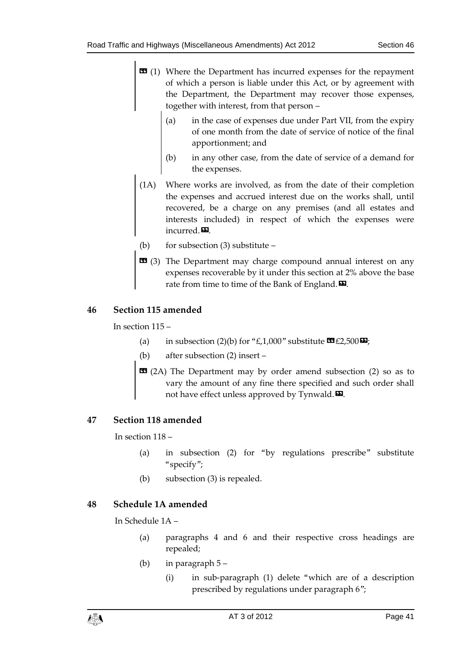- $\text{1}$  (1) Where the Department has incurred expenses for the repayment of which a person is liable under this Act, or by agreement with the Department, the Department may recover those expenses, together with interest, from that person –
	- (a) in the case of expenses due under Part VII, from the expiry of one month from the date of service of notice of the final apportionment; and
	- (b) in any other case, from the date of service of a demand for the expenses.
- (1A) Where works are involved, as from the date of their completion the expenses and accrued interest due on the works shall, until recovered, be a charge on any premises (and all estates and interests included) in respect of which the expenses were incurred. $\mathbf{E}$ .
- (b) for subsection (3) substitute –
- $\text{13}$  (3) The Department may charge compound annual interest on any expenses recoverable by it under this section at 2% above the base rate from time to time of the Bank of England. $\boldsymbol{\mathsf{D}}$ .

### <span id="page-40-0"></span>**46 Section 115 amended**

In section 115 –

- (a) in subsection (2)(b) for "£,1,000" substitute  $\mathbf{\mathfrak{B}}$  £2,500 $\mathbf{\mathfrak{D}}$ ;
- (b) after subsection (2) insert –
- **EE** (2A) The Department may by order amend subsection (2) so as to vary the amount of any fine there specified and such order shall not have effect unless approved by Tynwald. $\boldsymbol{\mathsf{\Xi}}$ .

### <span id="page-40-1"></span>**47 Section 118 amended**

In section 118 –

- (a) in subsection (2) for "by regulations prescribe" substitute "specify";
- (b) subsection (3) is repealed.

### <span id="page-40-2"></span>**48 Schedule 1A amended**

In Schedule 1A –

- (a) paragraphs 4 and 6 and their respective cross headings are repealed;
- (b) in paragraph 5
	- (i) in sub-paragraph (1) delete "which are of a description prescribed by regulations under paragraph 6";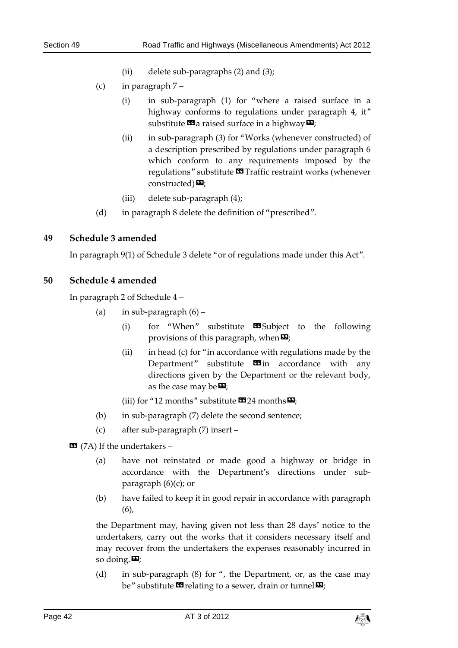- (ii) delete sub-paragraphs (2) and (3);
- (c) in paragraph 7
	- (i) in sub-paragraph (1) for "where a raised surface in a highway conforms to regulations under paragraph 4, it" substitute  $\mathbf{G}$  a raised surface in a highway  $\mathbf{E}$ ;
	- (ii) in sub-paragraph (3) for "Works (whenever constructed) of a description prescribed by regulations under paragraph 6 which conform to any requirements imposed by the regulations" substitute  $\blacksquare$  Traffic restraint works (whenever constructed) $\mathbf{E}$ ;
	- (iii) delete sub-paragraph (4);
- (d) in paragraph 8 delete the definition of "prescribed".

### <span id="page-41-0"></span>**49 Schedule 3 amended**

In paragraph 9(1) of Schedule 3 delete "or of regulations made under this Act".

### <span id="page-41-1"></span>**50 Schedule 4 amended**

In paragraph 2 of Schedule 4 –

- (a) in sub-paragraph  $(6)$ 
	- (i) for "When" substitute  $\Box$  Subject to the following provisions of this paragraph, when  $\boldsymbol{\mathsf{\Xi}}$ ;
	- (ii) in head (c) for "in accordance with regulations made by the Department" substitute  $\blacksquare$  in accordance with any directions given by the Department or the relevant body, as the case may be  $\mathbf{E}$ ;
	- (iii) for "12 months" substitute  $\mathbf{C}$  24 months  $\mathbf{D}$ ;
- (b) in sub-paragraph (7) delete the second sentence;
- (c) after sub-paragraph (7) insert –

 $\blacksquare$  (7A) If the undertakers –

- (a) have not reinstated or made good a highway or bridge in accordance with the Department's directions under subparagraph  $(6)(c)$ ; or
- (b) have failed to keep it in good repair in accordance with paragraph (6),

the Department may, having given not less than 28 days' notice to the undertakers, carry out the works that it considers necessary itself and may recover from the undertakers the expenses reasonably incurred in so doing. $\mathbf{E}$ ;

(d) in sub-paragraph (8) for ", the Department, or, as the case may be" substitute  $\mathbf{w}$  relating to a sewer, drain or tunnel  $\mathbf{w}$ ;

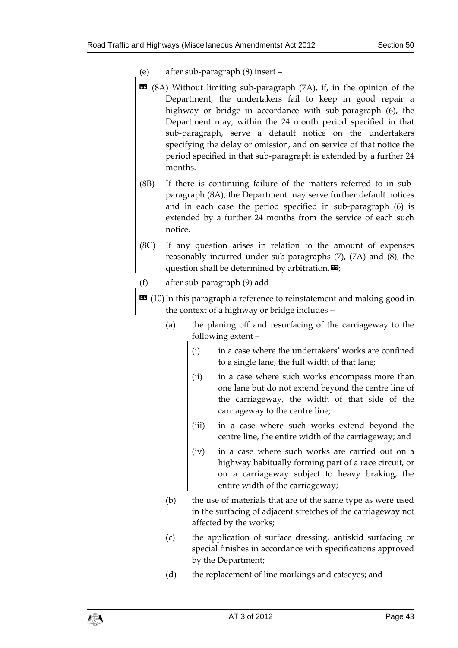- (e) after sub-paragraph (8) insert –
- **EE** (8A) Without limiting sub-paragraph (7A), if, in the opinion of the Department, the undertakers fail to keep in good repair a highway or bridge in accordance with sub-paragraph (6), the Department may, within the 24 month period specified in that sub-paragraph, serve a default notice on the undertakers specifying the delay or omission, and on service of that notice the period specified in that sub-paragraph is extended by a further 24 months.
- (8B) If there is continuing failure of the matters referred to in subparagraph (8A), the Department may serve further default notices and in each case the period specified in sub-paragraph (6) is extended by a further 24 months from the service of each such notice.
- (8C) If any question arises in relation to the amount of expenses reasonably incurred under sub-paragraphs (7), (7A) and (8), the question shall be determined by arbitration.  $\mathbf{E}$ ;
- (f) after sub-paragraph (9) add —
- $\text{10}$  (10) In this paragraph a reference to reinstatement and making good in the context of a highway or bridge includes –
	- (a) the planing off and resurfacing of the carriageway to the following extent –
		- (i) in a case where the undertakers' works are confined to a single lane, the full width of that lane;
		- (ii) in a case where such works encompass more than one lane but do not extend beyond the centre line of the carriageway, the width of that side of the carriageway to the centre line;
		- (iii) in a case where such works extend beyond the centre line, the entire width of the carriageway; and
		- (iv) in a case where such works are carried out on a highway habitually forming part of a race circuit, or on a carriageway subject to heavy braking, the entire width of the carriageway;
	- (b) the use of materials that are of the same type as were used in the surfacing of adjacent stretches of the carriageway not affected by the works;
	- (c) the application of surface dressing, antiskid surfacing or special finishes in accordance with specifications approved by the Department;
	- (d) the replacement of line markings and catseyes; and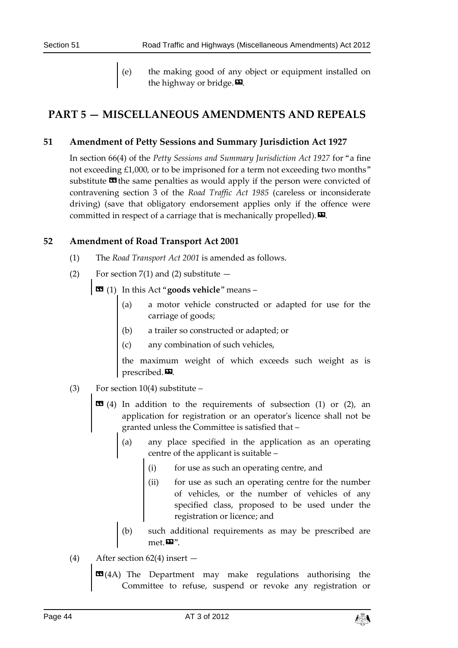(e) the making good of any object or equipment installed on the highway or bridge. $\boldsymbol{\mathsf{E}}$ .

### <span id="page-43-1"></span><span id="page-43-0"></span>**PART 5 — MISCELLANEOUS AMENDMENTS AND REPEALS**

### **51 Amendment of Petty Sessions and Summary Jurisdiction Act 1927**

In section 66(4) of the *Petty Sessions and Summary Jurisdiction Act 1927* for "a fine not exceeding £1,000, or to be imprisoned for a term not exceeding two months" substitute  $\mathbf{\Omega}$  the same penalties as would apply if the person were convicted of contravening section 3 of the *Road Traffic Act 1985* (careless or inconsiderate driving) (save that obligatory endorsement applies only if the offence were committed in respect of a carriage that is mechanically propelled).  $\boxtimes$ .

### <span id="page-43-2"></span>**52 Amendment of Road Transport Act 2001**

- (1) The *Road Transport Act 2001* is amended as follows.
- (2) For section  $7(1)$  and (2) substitute  $-$ 
	- « (1) In this Act "**goods vehicle**" means
		- (a) a motor vehicle constructed or adapted for use for the carriage of goods;
		- (b) a trailer so constructed or adapted; or
		- (c) any combination of such vehicles,

the maximum weight of which exceeds such weight as is prescribed. $\boldsymbol{\mathsf{E}}$ .

- (3) For section  $10(4)$  substitute
	- $\overline{69}$  (4) In addition to the requirements of subsection (1) or (2), an application for registration or an operator's licence shall not be granted unless the Committee is satisfied that –
		- (a) any place specified in the application as an operating centre of the applicant is suitable –
			- (i) for use as such an operating centre, and
			- (ii) for use as such an operating centre for the number of vehicles, or the number of vehicles of any specified class, proposed to be used under the registration or licence; and
		- (b) such additional requirements as may be prescribed are  $met. \blacksquare$ ".
- (4) After section 62(4) insert
	- **EE**(4A) The Department may make regulations authorising the Committee to refuse, suspend or revoke any registration or